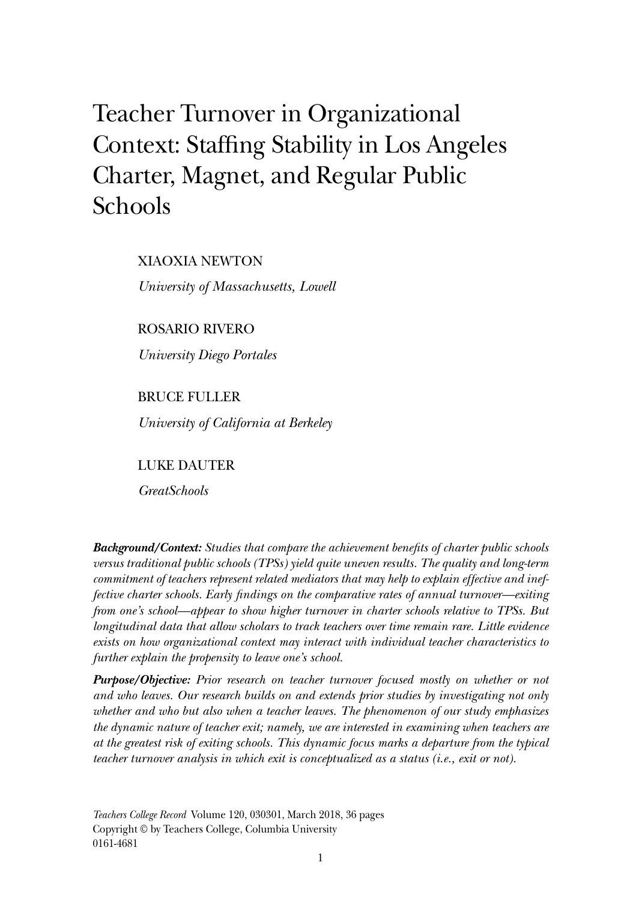# Teacher Turnover in Organizational Context: Staffing Stability in Los Angeles Charter, Magnet, and Regular Public Schools

XIAOXIA NEWTON

*University of Massachusetts, Lowell*

ROSARIO RIVERO

*University Diego Portales*

BRUCE FULLER *University of California at Berkeley*

LUKE DAUTER

*GreatSchools*

*Background/Context: Studies that compare the achievement benefits of charter public schools versus traditional public schools (TPSs) yield quite uneven results. The quality and long-term commitment of teachers represent related mediators that may help to explain effective and ineffective charter schools. Early findings on the comparative rates of annual turnover—exiting from one's school—appear to show higher turnover in charter schools relative to TPSs. But longitudinal data that allow scholars to track teachers over time remain rare. Little evidence exists on how organizational context may interact with individual teacher characteristics to further explain the propensity to leave one's school.*

*Purpose/Objective: Prior research on teacher turnover focused mostly on whether or not and who leaves. Our research builds on and extends prior studies by investigating not only whether and who but also when a teacher leaves. The phenomenon of our study emphasizes the dynamic nature of teacher exit; namely, we are interested in examining when teachers are at the greatest risk of exiting schools. This dynamic focus marks a departure from the typical teacher turnover analysis in which exit is conceptualized as a status (i.e., exit or not).*

*Teachers College Record* Volume 120, 030301, March 2018, 36 pages Copyright © by Teachers College, Columbia University 0161-4681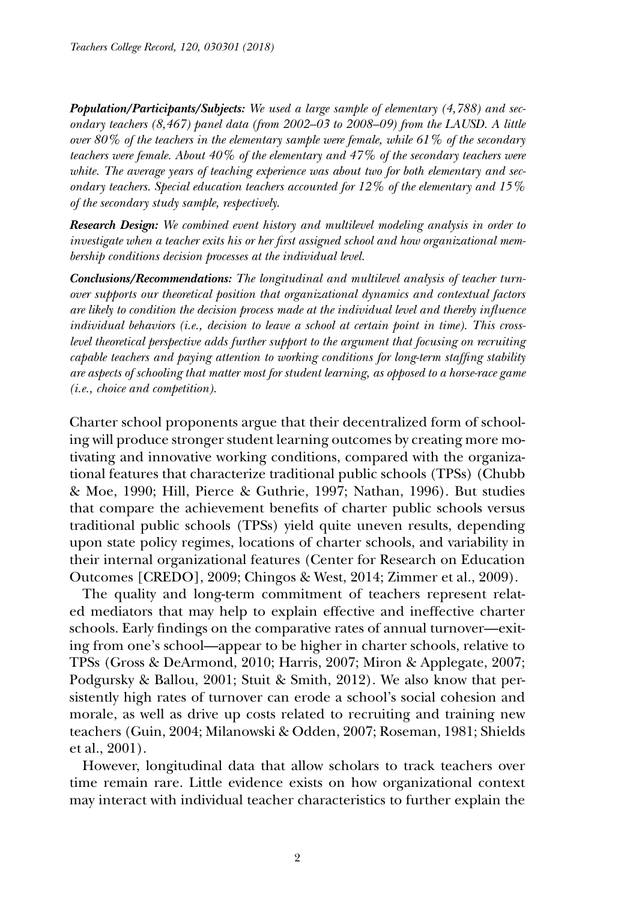*Population/Participants/Subjects: We used a large sample of elementary (4,788) and secondary teachers (8,467) panel data (from 2002–03 to 2008–09) from the LAUSD. A little over 80% of the teachers in the elementary sample were female, while 61% of the secondary teachers were female. About 40% of the elementary and 47% of the secondary teachers were white. The average years of teaching experience was about two for both elementary and secondary teachers. Special education teachers accounted for 12% of the elementary and 15% of the secondary study sample, respectively.*

*Research Design: We combined event history and multilevel modeling analysis in order to investigate when a teacher exits his or her first assigned school and how organizational membership conditions decision processes at the individual level.*

*Conclusions/Recommendations: The longitudinal and multilevel analysis of teacher turnover supports our theoretical position that organizational dynamics and contextual factors are likely to condition the decision process made at the individual level and thereby influence individual behaviors (i.e., decision to leave a school at certain point in time). This crosslevel theoretical perspective adds further support to the argument that focusing on recruiting capable teachers and paying attention to working conditions for long-term staffing stability are aspects of schooling that matter most for student learning, as opposed to a horse-race game (i.e., choice and competition).*

Charter school proponents argue that their decentralized form of schooling will produce stronger student learning outcomes by creating more motivating and innovative working conditions, compared with the organizational features that characterize traditional public schools (TPSs) (Chubb & Moe, 1990; Hill, Pierce & Guthrie, 1997; Nathan, 1996). But studies that compare the achievement benefits of charter public schools versus traditional public schools (TPSs) yield quite uneven results, depending upon state policy regimes, locations of charter schools, and variability in their internal organizational features (Center for Research on Education Outcomes [CREDO], 2009; Chingos & West, 2014; Zimmer et al., 2009).

The quality and long-term commitment of teachers represent related mediators that may help to explain effective and ineffective charter schools. Early findings on the comparative rates of annual turnover—exiting from one's school—appear to be higher in charter schools, relative to TPSs (Gross & DeArmond, 2010; Harris, 2007; Miron & Applegate, 2007; Podgursky & Ballou, 2001; Stuit & Smith, 2012). We also know that persistently high rates of turnover can erode a school's social cohesion and morale, as well as drive up costs related to recruiting and training new teachers (Guin, 2004; Milanowski & Odden, 2007; Roseman, 1981; Shields et al., 2001).

However, longitudinal data that allow scholars to track teachers over time remain rare. Little evidence exists on how organizational context may interact with individual teacher characteristics to further explain the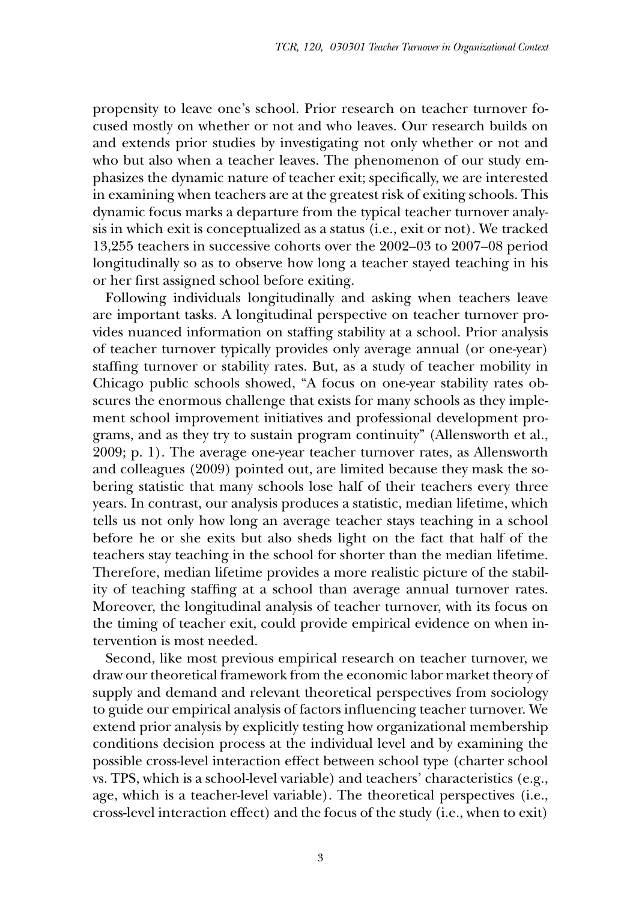propensity to leave one's school. Prior research on teacher turnover focused mostly on whether or not and who leaves. Our research builds on and extends prior studies by investigating not only whether or not and who but also when a teacher leaves. The phenomenon of our study emphasizes the dynamic nature of teacher exit; specifically, we are interested in examining when teachers are at the greatest risk of exiting schools. This dynamic focus marks a departure from the typical teacher turnover analysis in which exit is conceptualized as a status (i.e., exit or not). We tracked 13,255 teachers in successive cohorts over the 2002–03 to 2007–08 period longitudinally so as to observe how long a teacher stayed teaching in his or her first assigned school before exiting.

Following individuals longitudinally and asking when teachers leave are important tasks. A longitudinal perspective on teacher turnover provides nuanced information on staffing stability at a school. Prior analysis of teacher turnover typically provides only average annual (or one-year) staffing turnover or stability rates. But, as a study of teacher mobility in Chicago public schools showed, "A focus on one-year stability rates obscures the enormous challenge that exists for many schools as they implement school improvement initiatives and professional development programs, and as they try to sustain program continuity" (Allensworth et al., 2009; p. 1). The average one-year teacher turnover rates, as Allensworth and colleagues (2009) pointed out, are limited because they mask the sobering statistic that many schools lose half of their teachers every three years. In contrast, our analysis produces a statistic, median lifetime, which tells us not only how long an average teacher stays teaching in a school before he or she exits but also sheds light on the fact that half of the teachers stay teaching in the school for shorter than the median lifetime. Therefore, median lifetime provides a more realistic picture of the stability of teaching staffing at a school than average annual turnover rates. Moreover, the longitudinal analysis of teacher turnover, with its focus on the timing of teacher exit, could provide empirical evidence on when intervention is most needed.

Second, like most previous empirical research on teacher turnover, we draw our theoretical framework from the economic labor market theory of supply and demand and relevant theoretical perspectives from sociology to guide our empirical analysis of factors influencing teacher turnover. We extend prior analysis by explicitly testing how organizational membership conditions decision process at the individual level and by examining the possible cross-level interaction effect between school type (charter school vs. TPS, which is a school-level variable) and teachers' characteristics (e.g., age, which is a teacher-level variable). The theoretical perspectives (i.e., cross-level interaction effect) and the focus of the study (i.e., when to exit)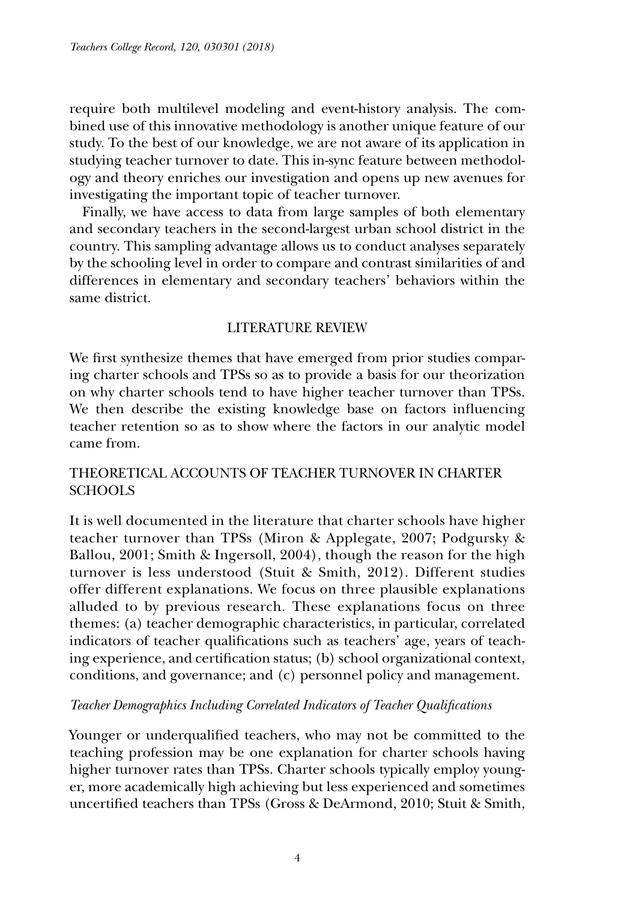require both multilevel modeling and event-history analysis. The combined use of this innovative methodology is another unique feature of our study. To the best of our knowledge, we are not aware of its application in studying teacher turnover to date. This in-sync feature between methodology and theory enriches our investigation and opens up new avenues for investigating the important topic of teacher turnover.

Finally, we have access to data from large samples of both elementary and secondary teachers in the second-largest urban school district in the country. This sampling advantage allows us to conduct analyses separately by the schooling level in order to compare and contrast similarities of and differences in elementary and secondary teachers' behaviors within the same district.

# Literature Review

We first synthesize themes that have emerged from prior studies comparing charter schools and TPSs so as to provide a basis for our theorization on why charter schools tend to have higher teacher turnover than TPSs. We then describe the existing knowledge base on factors influencing teacher retention so as to show where the factors in our analytic model came from.

# Theoretical Accounts of Teacher Turnover in Charter **SCHOOLS**

It is well documented in the literature that charter schools have higher teacher turnover than TPSs (Miron & Applegate, 2007; Podgursky & Ballou, 2001; Smith & Ingersoll, 2004), though the reason for the high turnover is less understood (Stuit & Smith, 2012). Different studies offer different explanations. We focus on three plausible explanations alluded to by previous research. These explanations focus on three themes: (a) teacher demographic characteristics, in particular, correlated indicators of teacher qualifications such as teachers' age, years of teaching experience, and certification status; (b) school organizational context, conditions, and governance; and (c) personnel policy and management.

## *Teacher Demographics Including Correlated Indicators of Teacher Qualifications*

Younger or underqualified teachers, who may not be committed to the teaching profession may be one explanation for charter schools having higher turnover rates than TPSs. Charter schools typically employ younger, more academically high achieving but less experienced and sometimes uncertified teachers than TPSs (Gross & DeArmond, 2010; Stuit & Smith,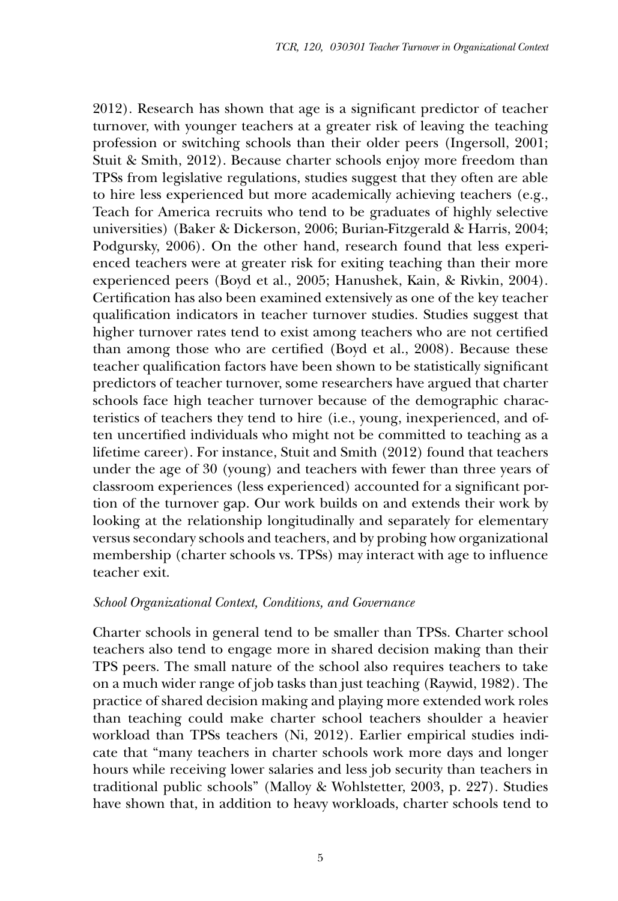2012). Research has shown that age is a significant predictor of teacher turnover, with younger teachers at a greater risk of leaving the teaching profession or switching schools than their older peers (Ingersoll, 2001; Stuit & Smith, 2012). Because charter schools enjoy more freedom than TPSs from legislative regulations, studies suggest that they often are able to hire less experienced but more academically achieving teachers (e.g., Teach for America recruits who tend to be graduates of highly selective universities) (Baker & Dickerson, 2006; Burian-Fitzgerald & Harris, 2004; Podgursky, 2006). On the other hand, research found that less experienced teachers were at greater risk for exiting teaching than their more experienced peers (Boyd et al., 2005; Hanushek, Kain, & Rivkin, 2004). Certification has also been examined extensively as one of the key teacher qualification indicators in teacher turnover studies. Studies suggest that higher turnover rates tend to exist among teachers who are not certified than among those who are certified (Boyd et al., 2008). Because these teacher qualification factors have been shown to be statistically significant predictors of teacher turnover, some researchers have argued that charter schools face high teacher turnover because of the demographic characteristics of teachers they tend to hire (i.e., young, inexperienced, and often uncertified individuals who might not be committed to teaching as a lifetime career). For instance, Stuit and Smith (2012) found that teachers under the age of 30 (young) and teachers with fewer than three years of classroom experiences (less experienced) accounted for a significant portion of the turnover gap. Our work builds on and extends their work by looking at the relationship longitudinally and separately for elementary versus secondary schools and teachers, and by probing how organizational membership (charter schools vs. TPSs) may interact with age to influence teacher exit.

## *School Organizational Context, Conditions, and Governance*

Charter schools in general tend to be smaller than TPSs. Charter school teachers also tend to engage more in shared decision making than their TPS peers. The small nature of the school also requires teachers to take on a much wider range of job tasks than just teaching (Raywid, 1982). The practice of shared decision making and playing more extended work roles than teaching could make charter school teachers shoulder a heavier workload than TPSs teachers (Ni, 2012). Earlier empirical studies indicate that "many teachers in charter schools work more days and longer hours while receiving lower salaries and less job security than teachers in traditional public schools" (Malloy & Wohlstetter, 2003, p. 227). Studies have shown that, in addition to heavy workloads, charter schools tend to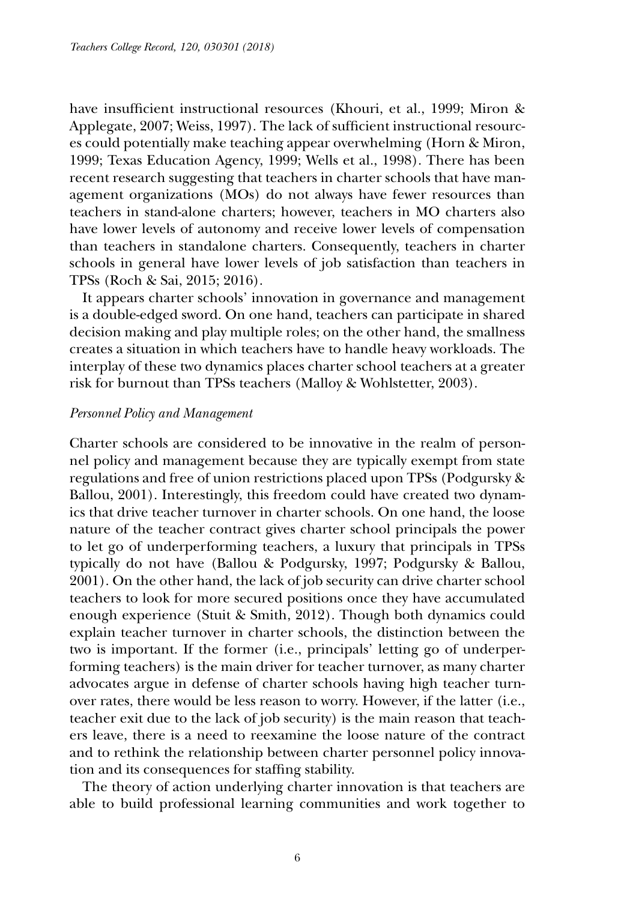have insufficient instructional resources (Khouri, et al., 1999; Miron & Applegate, 2007; Weiss, 1997). The lack of sufficient instructional resources could potentially make teaching appear overwhelming (Horn & Miron, 1999; Texas Education Agency, 1999; Wells et al., 1998). There has been recent research suggesting that teachers in charter schools that have management organizations (MOs) do not always have fewer resources than teachers in stand-alone charters; however, teachers in MO charters also have lower levels of autonomy and receive lower levels of compensation than teachers in standalone charters. Consequently, teachers in charter schools in general have lower levels of job satisfaction than teachers in TPSs (Roch & Sai, 2015; 2016).

It appears charter schools' innovation in governance and management is a double-edged sword. On one hand, teachers can participate in shared decision making and play multiple roles; on the other hand, the smallness creates a situation in which teachers have to handle heavy workloads. The interplay of these two dynamics places charter school teachers at a greater risk for burnout than TPSs teachers (Malloy & Wohlstetter, 2003).

#### *Personnel Policy and Management*

Charter schools are considered to be innovative in the realm of personnel policy and management because they are typically exempt from state regulations and free of union restrictions placed upon TPSs (Podgursky & Ballou, 2001). Interestingly, this freedom could have created two dynamics that drive teacher turnover in charter schools. On one hand, the loose nature of the teacher contract gives charter school principals the power to let go of underperforming teachers, a luxury that principals in TPSs typically do not have (Ballou & Podgursky, 1997; Podgursky & Ballou, 2001). On the other hand, the lack of job security can drive charter school teachers to look for more secured positions once they have accumulated enough experience (Stuit & Smith, 2012). Though both dynamics could explain teacher turnover in charter schools, the distinction between the two is important. If the former (i.e., principals' letting go of underperforming teachers) is the main driver for teacher turnover, as many charter advocates argue in defense of charter schools having high teacher turnover rates, there would be less reason to worry. However, if the latter (i.e., teacher exit due to the lack of job security) is the main reason that teachers leave, there is a need to reexamine the loose nature of the contract and to rethink the relationship between charter personnel policy innovation and its consequences for staffing stability.

The theory of action underlying charter innovation is that teachers are able to build professional learning communities and work together to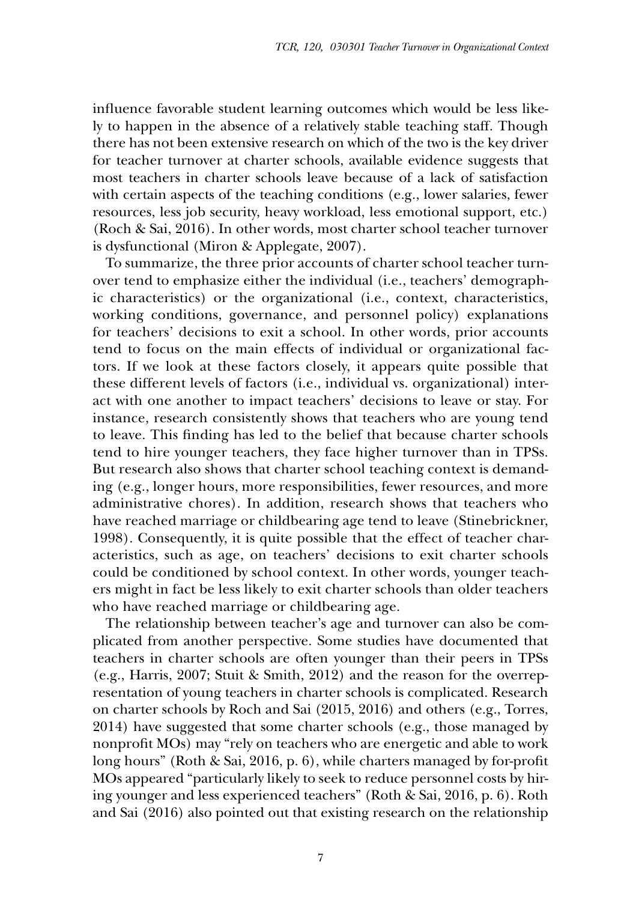influence favorable student learning outcomes which would be less likely to happen in the absence of a relatively stable teaching staff. Though there has not been extensive research on which of the two is the key driver for teacher turnover at charter schools, available evidence suggests that most teachers in charter schools leave because of a lack of satisfaction with certain aspects of the teaching conditions (e.g., lower salaries, fewer resources, less job security, heavy workload, less emotional support, etc.) (Roch & Sai, 2016). In other words, most charter school teacher turnover is dysfunctional (Miron & Applegate, 2007).

To summarize, the three prior accounts of charter school teacher turnover tend to emphasize either the individual (i.e., teachers' demographic characteristics) or the organizational (i.e., context, characteristics, working conditions, governance, and personnel policy) explanations for teachers' decisions to exit a school. In other words, prior accounts tend to focus on the main effects of individual or organizational factors. If we look at these factors closely, it appears quite possible that these different levels of factors (i.e., individual vs. organizational) interact with one another to impact teachers' decisions to leave or stay. For instance, research consistently shows that teachers who are young tend to leave. This finding has led to the belief that because charter schools tend to hire younger teachers, they face higher turnover than in TPSs. But research also shows that charter school teaching context is demanding (e.g., longer hours, more responsibilities, fewer resources, and more administrative chores). In addition, research shows that teachers who have reached marriage or childbearing age tend to leave (Stinebrickner, 1998). Consequently, it is quite possible that the effect of teacher characteristics, such as age, on teachers' decisions to exit charter schools could be conditioned by school context. In other words, younger teachers might in fact be less likely to exit charter schools than older teachers who have reached marriage or childbearing age.

The relationship between teacher's age and turnover can also be complicated from another perspective. Some studies have documented that teachers in charter schools are often younger than their peers in TPSs (e.g., Harris, 2007; Stuit & Smith, 2012) and the reason for the overrepresentation of young teachers in charter schools is complicated. Research on charter schools by Roch and Sai (2015, 2016) and others (e.g., Torres, 2014) have suggested that some charter schools (e.g., those managed by nonprofit MOs) may "rely on teachers who are energetic and able to work long hours" (Roth & Sai, 2016, p. 6), while charters managed by for-profit MOs appeared "particularly likely to seek to reduce personnel costs by hiring younger and less experienced teachers" (Roth & Sai, 2016, p. 6). Roth and Sai (2016) also pointed out that existing research on the relationship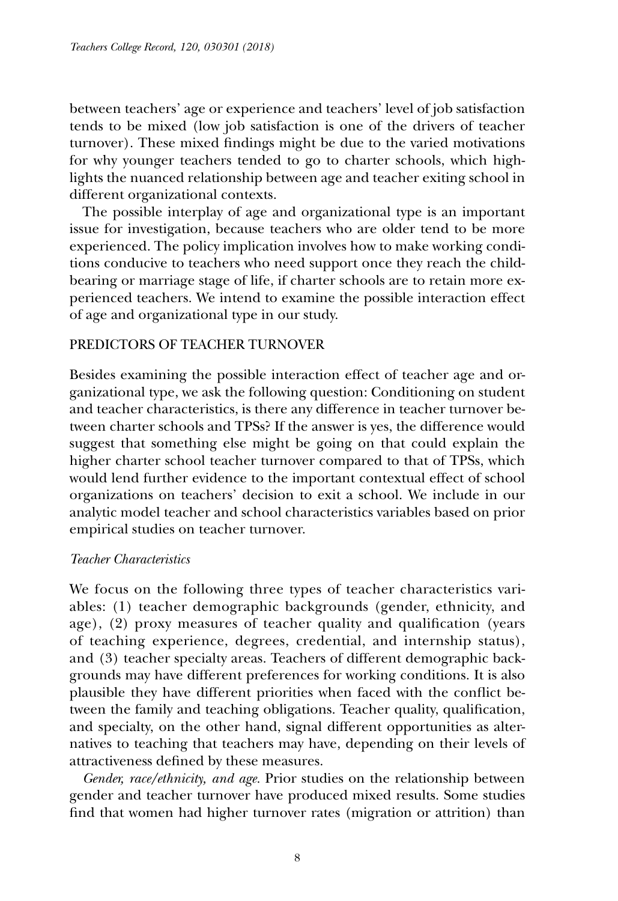between teachers' age or experience and teachers' level of job satisfaction tends to be mixed (low job satisfaction is one of the drivers of teacher turnover). These mixed findings might be due to the varied motivations for why younger teachers tended to go to charter schools, which highlights the nuanced relationship between age and teacher exiting school in different organizational contexts.

The possible interplay of age and organizational type is an important issue for investigation, because teachers who are older tend to be more experienced. The policy implication involves how to make working conditions conducive to teachers who need support once they reach the childbearing or marriage stage of life, if charter schools are to retain more experienced teachers. We intend to examine the possible interaction effect of age and organizational type in our study.

## Predictors of Teacher Turnover

Besides examining the possible interaction effect of teacher age and organizational type, we ask the following question: Conditioning on student and teacher characteristics, is there any difference in teacher turnover between charter schools and TPSs? If the answer is yes, the difference would suggest that something else might be going on that could explain the higher charter school teacher turnover compared to that of TPSs, which would lend further evidence to the important contextual effect of school organizations on teachers' decision to exit a school. We include in our analytic model teacher and school characteristics variables based on prior empirical studies on teacher turnover.

## *Teacher Characteristics*

We focus on the following three types of teacher characteristics variables: (1) teacher demographic backgrounds (gender, ethnicity, and age), (2) proxy measures of teacher quality and qualification (years of teaching experience, degrees, credential, and internship status), and (3) teacher specialty areas. Teachers of different demographic backgrounds may have different preferences for working conditions. It is also plausible they have different priorities when faced with the conflict between the family and teaching obligations. Teacher quality, qualification, and specialty, on the other hand, signal different opportunities as alternatives to teaching that teachers may have, depending on their levels of attractiveness defined by these measures.

*Gender, race/ethnicity, and age.* Prior studies on the relationship between gender and teacher turnover have produced mixed results. Some studies find that women had higher turnover rates (migration or attrition) than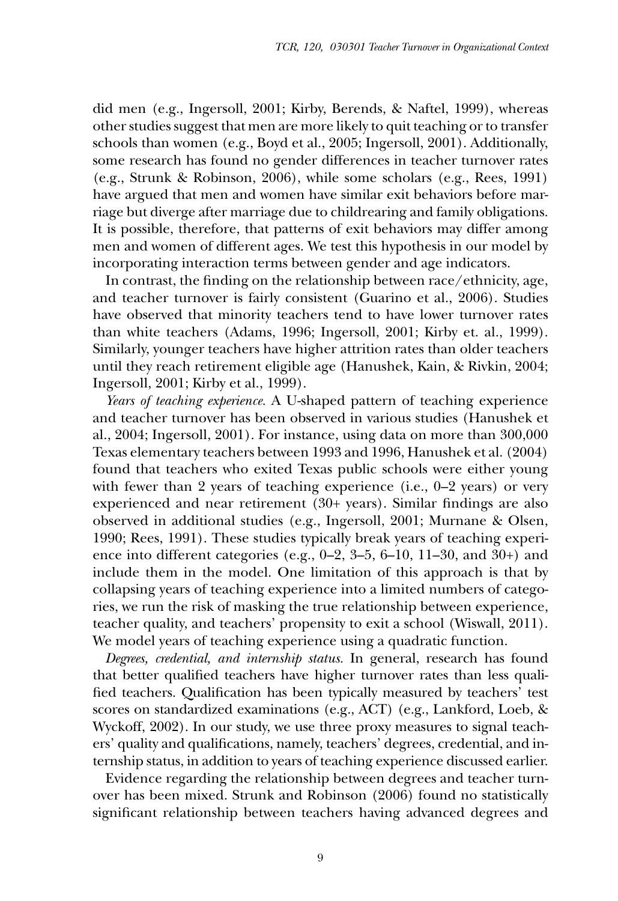did men (e.g., Ingersoll, 2001; Kirby, Berends, & Naftel, 1999), whereas other studies suggest that men are more likely to quit teaching or to transfer schools than women (e.g., Boyd et al., 2005; Ingersoll, 2001). Additionally, some research has found no gender differences in teacher turnover rates (e.g., Strunk & Robinson, 2006), while some scholars (e.g., Rees, 1991) have argued that men and women have similar exit behaviors before marriage but diverge after marriage due to childrearing and family obligations. It is possible, therefore, that patterns of exit behaviors may differ among men and women of different ages. We test this hypothesis in our model by incorporating interaction terms between gender and age indicators.

In contrast, the finding on the relationship between race/ethnicity, age, and teacher turnover is fairly consistent (Guarino et al., 2006). Studies have observed that minority teachers tend to have lower turnover rates than white teachers (Adams, 1996; Ingersoll, 2001; Kirby et. al., 1999). Similarly, younger teachers have higher attrition rates than older teachers until they reach retirement eligible age (Hanushek, Kain, & Rivkin, 2004; Ingersoll, 2001; Kirby et al., 1999).

*Years of teaching experience.* A U-shaped pattern of teaching experience and teacher turnover has been observed in various studies (Hanushek et al., 2004; Ingersoll, 2001). For instance, using data on more than 300,000 Texas elementary teachers between 1993 and 1996, Hanushek et al. (2004) found that teachers who exited Texas public schools were either young with fewer than 2 years of teaching experience (i.e., 0-2 years) or very experienced and near retirement (30+ years). Similar findings are also observed in additional studies (e.g., Ingersoll, 2001; Murnane & Olsen, 1990; Rees, 1991). These studies typically break years of teaching experience into different categories (e.g., 0–2, 3–5, 6–10, 11–30, and 30+) and include them in the model. One limitation of this approach is that by collapsing years of teaching experience into a limited numbers of categories, we run the risk of masking the true relationship between experience, teacher quality, and teachers' propensity to exit a school (Wiswall, 2011). We model years of teaching experience using a quadratic function.

*Degrees, credential, and internship status.* In general, research has found that better qualified teachers have higher turnover rates than less qualified teachers. Qualification has been typically measured by teachers' test scores on standardized examinations (e.g., ACT) (e.g., Lankford, Loeb, & Wyckoff, 2002). In our study, we use three proxy measures to signal teachers' quality and qualifications, namely, teachers' degrees, credential, and internship status, in addition to years of teaching experience discussed earlier.

Evidence regarding the relationship between degrees and teacher turnover has been mixed. Strunk and Robinson (2006) found no statistically significant relationship between teachers having advanced degrees and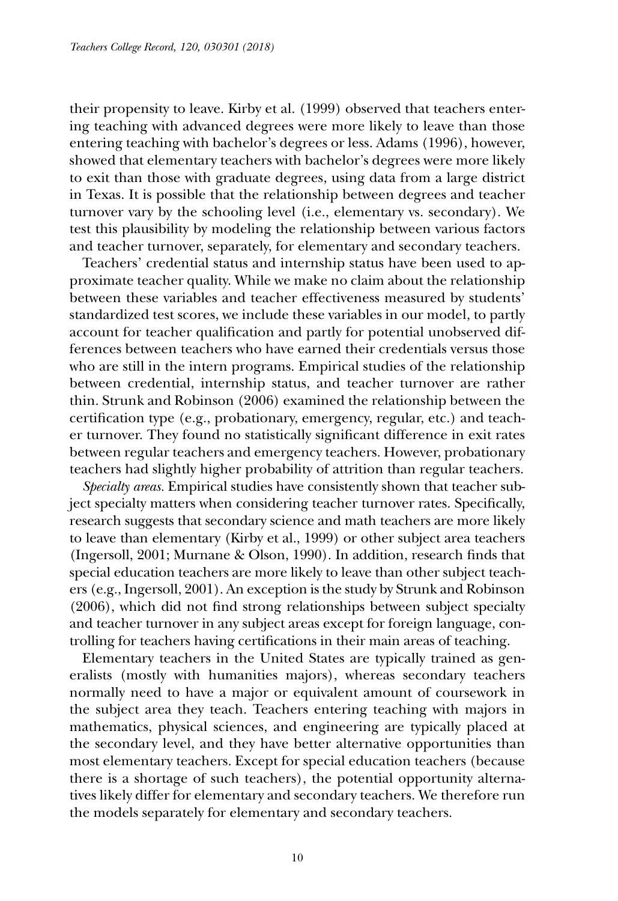their propensity to leave. Kirby et al. (1999) observed that teachers entering teaching with advanced degrees were more likely to leave than those entering teaching with bachelor's degrees or less. Adams (1996), however, showed that elementary teachers with bachelor's degrees were more likely to exit than those with graduate degrees, using data from a large district in Texas. It is possible that the relationship between degrees and teacher turnover vary by the schooling level (i.e., elementary vs. secondary). We test this plausibility by modeling the relationship between various factors and teacher turnover, separately, for elementary and secondary teachers.

Teachers' credential status and internship status have been used to approximate teacher quality. While we make no claim about the relationship between these variables and teacher effectiveness measured by students' standardized test scores, we include these variables in our model, to partly account for teacher qualification and partly for potential unobserved differences between teachers who have earned their credentials versus those who are still in the intern programs. Empirical studies of the relationship between credential, internship status, and teacher turnover are rather thin. Strunk and Robinson (2006) examined the relationship between the certification type (e.g., probationary, emergency, regular, etc.) and teacher turnover. They found no statistically significant difference in exit rates between regular teachers and emergency teachers. However, probationary teachers had slightly higher probability of attrition than regular teachers.

*Specialty areas.* Empirical studies have consistently shown that teacher subject specialty matters when considering teacher turnover rates. Specifically, research suggests that secondary science and math teachers are more likely to leave than elementary (Kirby et al., 1999) or other subject area teachers (Ingersoll, 2001; Murnane & Olson, 1990). In addition, research finds that special education teachers are more likely to leave than other subject teachers (e.g., Ingersoll, 2001). An exception is the study by Strunk and Robinson (2006), which did not find strong relationships between subject specialty and teacher turnover in any subject areas except for foreign language, controlling for teachers having certifications in their main areas of teaching.

Elementary teachers in the United States are typically trained as generalists (mostly with humanities majors), whereas secondary teachers normally need to have a major or equivalent amount of coursework in the subject area they teach. Teachers entering teaching with majors in mathematics, physical sciences, and engineering are typically placed at the secondary level, and they have better alternative opportunities than most elementary teachers. Except for special education teachers (because there is a shortage of such teachers), the potential opportunity alternatives likely differ for elementary and secondary teachers. We therefore run the models separately for elementary and secondary teachers.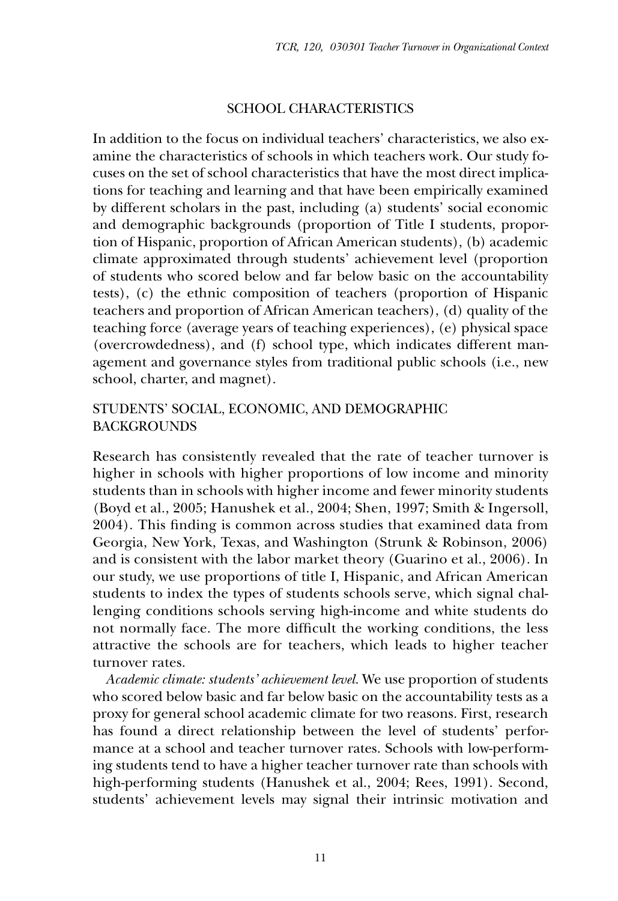## School Characteristics

In addition to the focus on individual teachers' characteristics, we also examine the characteristics of schools in which teachers work. Our study focuses on the set of school characteristics that have the most direct implications for teaching and learning and that have been empirically examined by different scholars in the past, including (a) students' social economic and demographic backgrounds (proportion of Title I students, proportion of Hispanic, proportion of African American students), (b) academic climate approximated through students' achievement level (proportion of students who scored below and far below basic on the accountability tests), (c) the ethnic composition of teachers (proportion of Hispanic teachers and proportion of African American teachers), (d) quality of the teaching force (average years of teaching experiences), (e) physical space (overcrowdedness), and (f) school type, which indicates different management and governance styles from traditional public schools (i.e., new school, charter, and magnet).

## Students' Social, Economic, and Demographic **BACKGROUNDS**

Research has consistently revealed that the rate of teacher turnover is higher in schools with higher proportions of low income and minority students than in schools with higher income and fewer minority students (Boyd et al., 2005; Hanushek et al., 2004; Shen, 1997; Smith & Ingersoll, 2004). This finding is common across studies that examined data from Georgia, New York, Texas, and Washington (Strunk & Robinson, 2006) and is consistent with the labor market theory (Guarino et al., 2006). In our study, we use proportions of title I, Hispanic, and African American students to index the types of students schools serve, which signal challenging conditions schools serving high-income and white students do not normally face. The more difficult the working conditions, the less attractive the schools are for teachers, which leads to higher teacher turnover rates.

*Academic climate: students' achievement level.* We use proportion of students who scored below basic and far below basic on the accountability tests as a proxy for general school academic climate for two reasons. First, research has found a direct relationship between the level of students' performance at a school and teacher turnover rates. Schools with low-performing students tend to have a higher teacher turnover rate than schools with high-performing students (Hanushek et al., 2004; Rees, 1991). Second, students' achievement levels may signal their intrinsic motivation and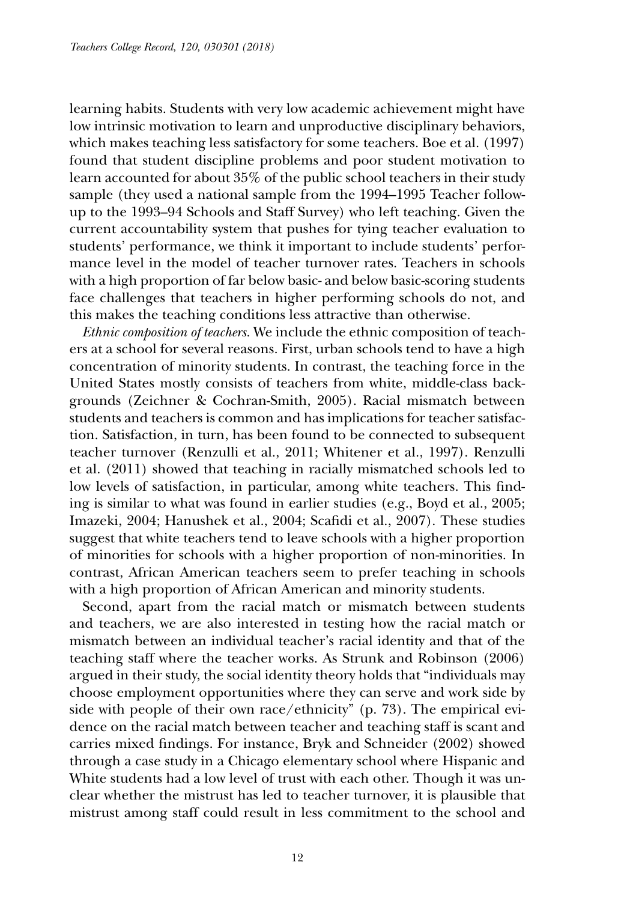learning habits. Students with very low academic achievement might have low intrinsic motivation to learn and unproductive disciplinary behaviors, which makes teaching less satisfactory for some teachers. Boe et al. (1997) found that student discipline problems and poor student motivation to learn accounted for about 35% of the public school teachers in their study sample (they used a national sample from the 1994–1995 Teacher followup to the 1993–94 Schools and Staff Survey) who left teaching. Given the current accountability system that pushes for tying teacher evaluation to students' performance, we think it important to include students' performance level in the model of teacher turnover rates. Teachers in schools with a high proportion of far below basic- and below basic-scoring students face challenges that teachers in higher performing schools do not, and this makes the teaching conditions less attractive than otherwise.

*Ethnic composition of teachers.* We include the ethnic composition of teachers at a school for several reasons. First, urban schools tend to have a high concentration of minority students. In contrast, the teaching force in the United States mostly consists of teachers from white, middle-class backgrounds (Zeichner & Cochran-Smith, 2005). Racial mismatch between students and teachers is common and has implications for teacher satisfaction. Satisfaction, in turn, has been found to be connected to subsequent teacher turnover (Renzulli et al., 2011; Whitener et al., 1997). Renzulli et al. (2011) showed that teaching in racially mismatched schools led to low levels of satisfaction, in particular, among white teachers. This finding is similar to what was found in earlier studies (e.g., Boyd et al., 2005; Imazeki, 2004; Hanushek et al., 2004; Scafidi et al., 2007). These studies suggest that white teachers tend to leave schools with a higher proportion of minorities for schools with a higher proportion of non-minorities. In contrast, African American teachers seem to prefer teaching in schools with a high proportion of African American and minority students.

Second, apart from the racial match or mismatch between students and teachers, we are also interested in testing how the racial match or mismatch between an individual teacher's racial identity and that of the teaching staff where the teacher works. As Strunk and Robinson (2006) argued in their study, the social identity theory holds that "individuals may choose employment opportunities where they can serve and work side by side with people of their own race/ethnicity" (p. 73). The empirical evidence on the racial match between teacher and teaching staff is scant and carries mixed findings. For instance, Bryk and Schneider (2002) showed through a case study in a Chicago elementary school where Hispanic and White students had a low level of trust with each other. Though it was unclear whether the mistrust has led to teacher turnover, it is plausible that mistrust among staff could result in less commitment to the school and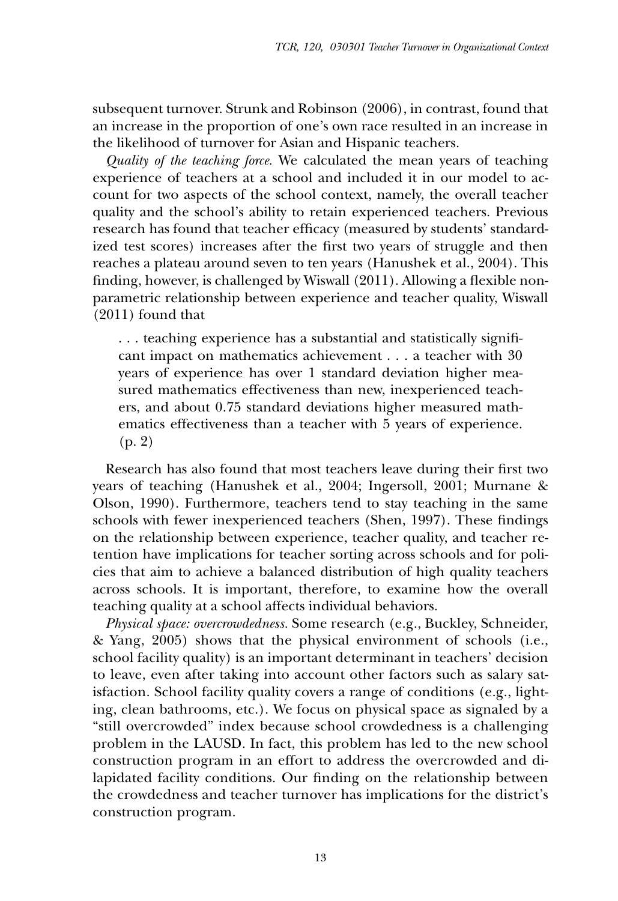subsequent turnover. Strunk and Robinson (2006), in contrast, found that an increase in the proportion of one's own race resulted in an increase in the likelihood of turnover for Asian and Hispanic teachers.

*Quality of the teaching force.* We calculated the mean years of teaching experience of teachers at a school and included it in our model to account for two aspects of the school context, namely, the overall teacher quality and the school's ability to retain experienced teachers. Previous research has found that teacher efficacy (measured by students' standardized test scores) increases after the first two years of struggle and then reaches a plateau around seven to ten years (Hanushek et al., 2004). This finding, however, is challenged by Wiswall (2011). Allowing a flexible nonparametric relationship between experience and teacher quality, Wiswall (2011) found that

. . . teaching experience has a substantial and statistically significant impact on mathematics achievement . . . a teacher with 30 years of experience has over 1 standard deviation higher measured mathematics effectiveness than new, inexperienced teachers, and about 0.75 standard deviations higher measured mathematics effectiveness than a teacher with 5 years of experience. (p. 2)

Research has also found that most teachers leave during their first two years of teaching (Hanushek et al., 2004; Ingersoll, 2001; Murnane & Olson, 1990). Furthermore, teachers tend to stay teaching in the same schools with fewer inexperienced teachers (Shen, 1997). These findings on the relationship between experience, teacher quality, and teacher retention have implications for teacher sorting across schools and for policies that aim to achieve a balanced distribution of high quality teachers across schools. It is important, therefore, to examine how the overall teaching quality at a school affects individual behaviors.

*Physical space: overcrowdedness.* Some research (e.g., Buckley, Schneider, & Yang, 2005) shows that the physical environment of schools (i.e., school facility quality) is an important determinant in teachers' decision to leave, even after taking into account other factors such as salary satisfaction. School facility quality covers a range of conditions (e.g., lighting, clean bathrooms, etc.). We focus on physical space as signaled by a "still overcrowded" index because school crowdedness is a challenging problem in the LAUSD. In fact, this problem has led to the new school construction program in an effort to address the overcrowded and dilapidated facility conditions. Our finding on the relationship between the crowdedness and teacher turnover has implications for the district's construction program.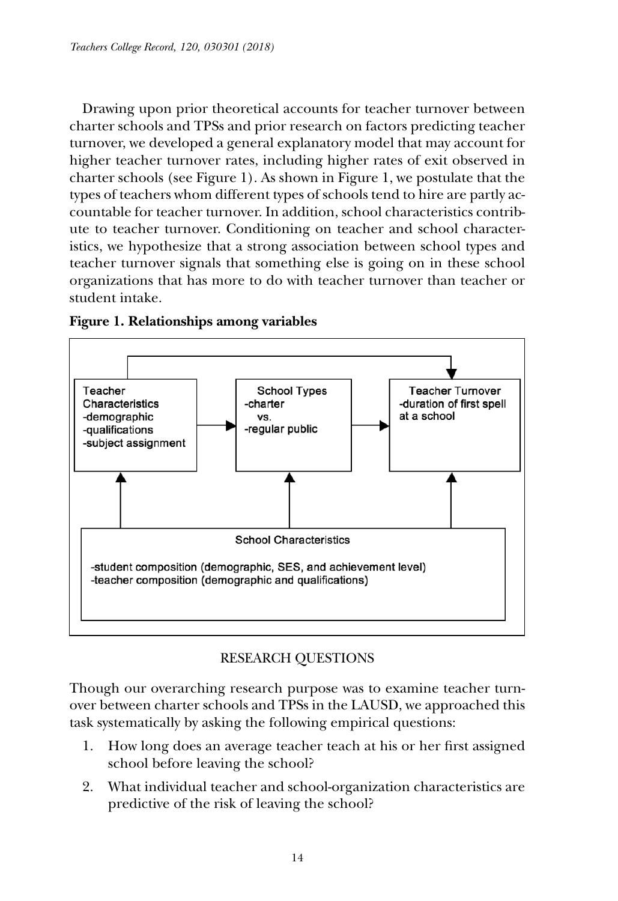Drawing upon prior theoretical accounts for teacher turnover between charter schools and TPSs and prior research on factors predicting teacher turnover, we developed a general explanatory model that may account for higher teacher turnover rates, including higher rates of exit observed in charter schools (see Figure 1). As shown in Figure 1, we postulate that the types of teachers whom different types of schools tend to hire are partly accountable for teacher turnover. In addition, school characteristics contribute to teacher turnover. Conditioning on teacher and school characteristics, we hypothesize that a strong association between school types and teacher turnover signals that something else is going on in these school organizations that has more to do with teacher turnover than teacher or student intake.





# Research Questions

Though our overarching research purpose was to examine teacher turnover between charter schools and TPSs in the LAUSD, we approached this task systematically by asking the following empirical questions:

- 1. How long does an average teacher teach at his or her first assigned school before leaving the school?
- 2. What individual teacher and school-organization characteristics are predictive of the risk of leaving the school?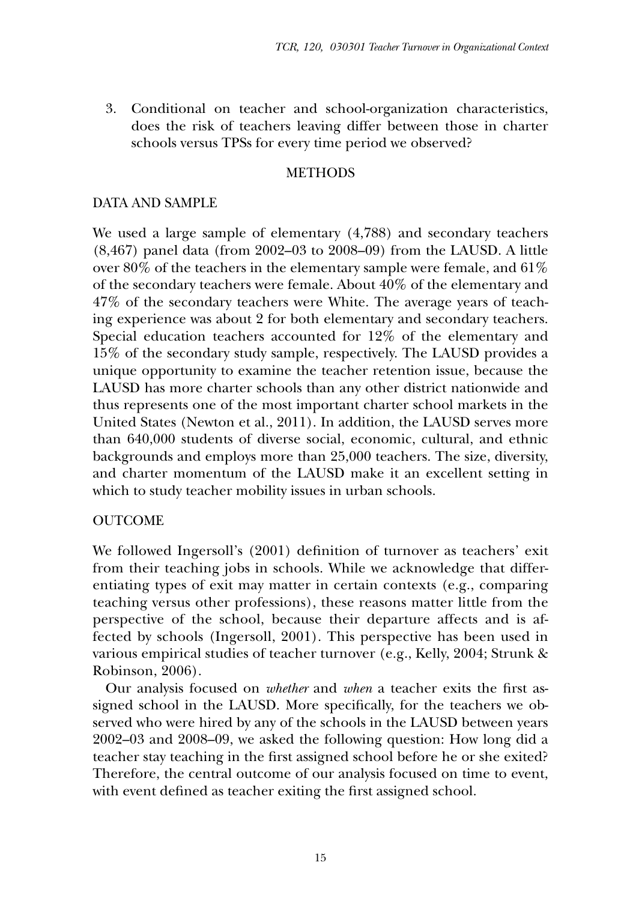3. Conditional on teacher and school-organization characteristics, does the risk of teachers leaving differ between those in charter schools versus TPSs for every time period we observed?

#### **METHODS**

## Data and Sample

We used a large sample of elementary (4,788) and secondary teachers (8,467) panel data (from 2002–03 to 2008–09) from the LAUSD. A little over 80% of the teachers in the elementary sample were female, and 61% of the secondary teachers were female. About 40% of the elementary and 47% of the secondary teachers were White. The average years of teaching experience was about 2 for both elementary and secondary teachers. Special education teachers accounted for 12% of the elementary and 15% of the secondary study sample, respectively. The LAUSD provides a unique opportunity to examine the teacher retention issue, because the LAUSD has more charter schools than any other district nationwide and thus represents one of the most important charter school markets in the United States (Newton et al., 2011). In addition, the LAUSD serves more than 640,000 students of diverse social, economic, cultural, and ethnic backgrounds and employs more than 25,000 teachers. The size, diversity, and charter momentum of the LAUSD make it an excellent setting in which to study teacher mobility issues in urban schools.

## **OUTCOME**

We followed Ingersoll's (2001) definition of turnover as teachers' exit from their teaching jobs in schools. While we acknowledge that differentiating types of exit may matter in certain contexts (e.g., comparing teaching versus other professions), these reasons matter little from the perspective of the school, because their departure affects and is affected by schools (Ingersoll, 2001). This perspective has been used in various empirical studies of teacher turnover (e.g., Kelly, 2004; Strunk & Robinson, 2006).

Our analysis focused on *whether* and *when* a teacher exits the first assigned school in the LAUSD. More specifically, for the teachers we observed who were hired by any of the schools in the LAUSD between years 2002–03 and 2008–09, we asked the following question: How long did a teacher stay teaching in the first assigned school before he or she exited? Therefore, the central outcome of our analysis focused on time to event, with event defined as teacher exiting the first assigned school.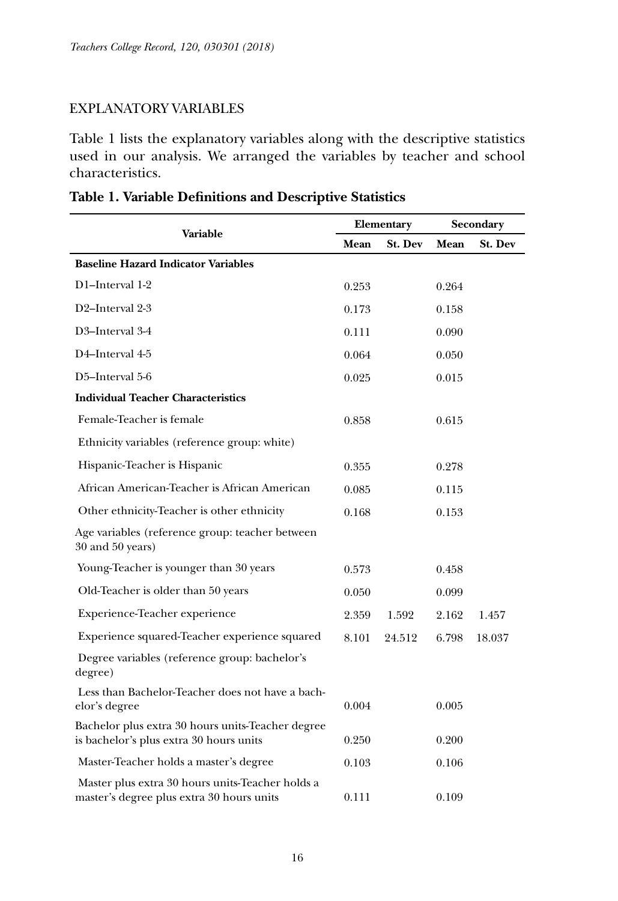## Explanatory Variables

Table 1 lists the explanatory variables along with the descriptive statistics used in our analysis. We arranged the variables by teacher and school characteristics.

| Variable                                                                                      |       | Elementary |       | Secondary      |  |
|-----------------------------------------------------------------------------------------------|-------|------------|-------|----------------|--|
|                                                                                               | Mean  | St. Dev    | Mean  | <b>St. Dev</b> |  |
| <b>Baseline Hazard Indicator Variables</b>                                                    |       |            |       |                |  |
| D1-Interval 1-2                                                                               | 0.253 |            | 0.264 |                |  |
| D2-Interval 2-3                                                                               | 0.173 |            | 0.158 |                |  |
| D3-Interval 3-4                                                                               | 0.111 |            | 0.090 |                |  |
| D4-Interval 4-5                                                                               | 0.064 |            | 0.050 |                |  |
| D5-Interval 5-6                                                                               | 0.025 |            | 0.015 |                |  |
| <b>Individual Teacher Characteristics</b>                                                     |       |            |       |                |  |
| Female-Teacher is female                                                                      | 0.858 |            | 0.615 |                |  |
| Ethnicity variables (reference group: white)                                                  |       |            |       |                |  |
| Hispanic-Teacher is Hispanic                                                                  | 0.355 |            | 0.278 |                |  |
| African American-Teacher is African American                                                  | 0.085 |            | 0.115 |                |  |
| Other ethnicity-Teacher is other ethnicity                                                    | 0.168 |            | 0.153 |                |  |
| Age variables (reference group: teacher between<br>$30$ and $50$ years)                       |       |            |       |                |  |
| Young-Teacher is younger than 30 years                                                        | 0.573 |            | 0.458 |                |  |
| Old-Teacher is older than 50 years                                                            | 0.050 |            | 0.099 |                |  |
| Experience-Teacher experience                                                                 | 2.359 | 1.592      | 2.162 | 1.457          |  |
| Experience squared-Teacher experience squared                                                 | 8.101 | 24.512     | 6.798 | 18.037         |  |
| Degree variables (reference group: bachelor's<br>degree)                                      |       |            |       |                |  |
| Less than Bachelor-Teacher does not have a bach-<br>elor's degree                             | 0.004 |            | 0.005 |                |  |
| Bachelor plus extra 30 hours units-Teacher degree<br>is bachelor's plus extra 30 hours units  | 0.250 |            | 0.200 |                |  |
| Master-Teacher holds a master's degree                                                        | 0.103 |            | 0.106 |                |  |
| Master plus extra 30 hours units-Teacher holds a<br>master's degree plus extra 30 hours units | 0.111 |            | 0.109 |                |  |

|  |  | Table 1. Variable Definitions and Descriptive Statistics |  |  |  |
|--|--|----------------------------------------------------------|--|--|--|
|--|--|----------------------------------------------------------|--|--|--|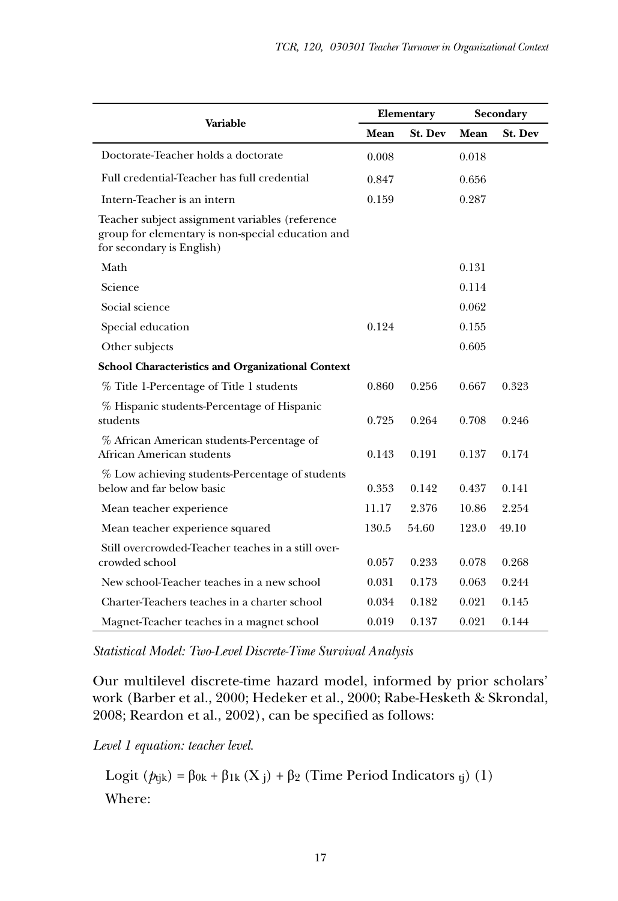| Variable                                                                                                                          |       | Elementary | Secondary |                |
|-----------------------------------------------------------------------------------------------------------------------------------|-------|------------|-----------|----------------|
|                                                                                                                                   |       | St. Dev    | Mean      | <b>St. Dev</b> |
| Doctorate-Teacher holds a doctorate                                                                                               | 0.008 |            | 0.018     |                |
| Full credential-Teacher has full credential                                                                                       | 0.847 |            | 0.656     |                |
| Intern-Teacher is an intern                                                                                                       | 0.159 |            | 0.287     |                |
| Teacher subject assignment variables (reference<br>group for elementary is non-special education and<br>for secondary is English) |       |            |           |                |
| Math                                                                                                                              |       |            | 0.131     |                |
| Science                                                                                                                           |       |            | 0.114     |                |
| Social science                                                                                                                    |       |            | 0.062     |                |
| Special education                                                                                                                 | 0.124 |            | 0.155     |                |
| Other subjects                                                                                                                    |       |            | 0.605     |                |
| <b>School Characteristics and Organizational Context</b>                                                                          |       |            |           |                |
| % Title 1-Percentage of Title 1 students                                                                                          | 0.860 | 0.256      | 0.667     | 0.323          |
| % Hispanic students-Percentage of Hispanic<br>students                                                                            | 0.725 | 0.264      | 0.708     | 0.246          |
| % African American students-Percentage of<br>African American students                                                            | 0.143 | 0.191      | 0.137     | 0.174          |
| % Low achieving students-Percentage of students<br>below and far below basic                                                      | 0.353 | 0.142      | 0.437     | 0.141          |
| Mean teacher experience                                                                                                           | 11.17 | 2.376      | 10.86     | 2.254          |
| Mean teacher experience squared                                                                                                   | 130.5 | 54.60      | 123.0     | 49.10          |
| Still overcrowded-Teacher teaches in a still over-<br>crowded school                                                              | 0.057 | 0.233      | 0.078     | 0.268          |
| New school-Teacher teaches in a new school                                                                                        | 0.031 | 0.173      | 0.063     | 0.244          |
| Charter-Teachers teaches in a charter school                                                                                      | 0.034 | 0.182      | 0.021     | 0.145          |
| Magnet-Teacher teaches in a magnet school                                                                                         | 0.019 | 0.137      | 0.021     | 0.144          |

*Statistical Model: Two-Level Discrete-Time Survival Analysis*

Our multilevel discrete-time hazard model, informed by prior scholars' work (Barber et al., 2000; Hedeker et al., 2000; Rabe-Hesketh & Skrondal, 2008; Reardon et al., 2002), can be specified as follows:

*Level 1 equation: teacher level.*

Logit  $(p_{ijk}) = \beta_{0k} + \beta_{1k} (X_i) + \beta_2$  (Time Period Indicators <sub>tj</sub>) (1) Where: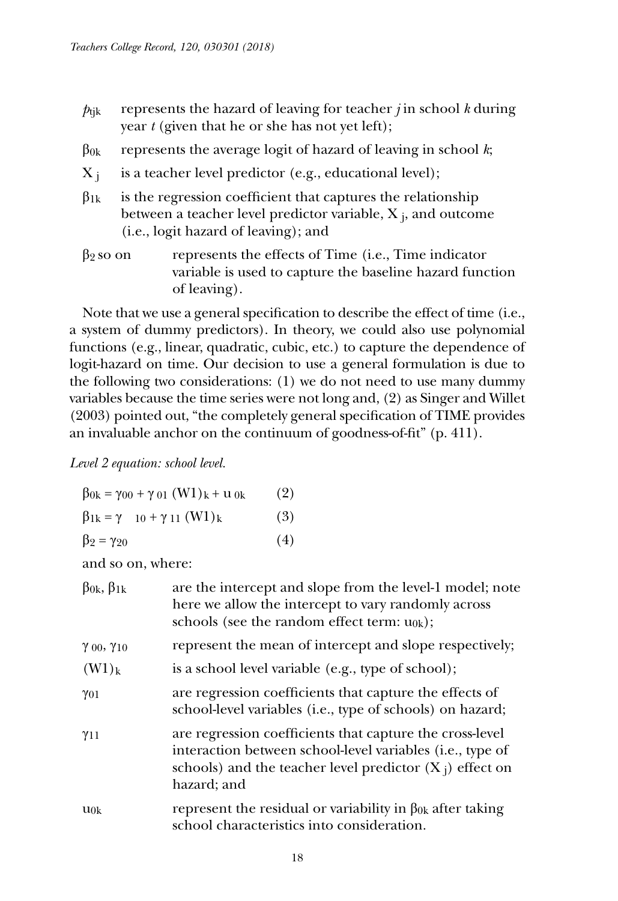- $p_{tik}$  represents the hazard of leaving for teacher *j* in school *k* during year *t* (given that he or she has not yet left);
- $β<sub>0k</sub>$  represents the average logit of hazard of leaving in school *k*;
- $X_i$  is a teacher level predictor (e.g., educational level);
- $\beta_{1k}$  is the regression coefficient that captures the relationship between a teacher level predictor variable,  $X_i$ , and outcome (i.e., logit hazard of leaving); and
- $\beta_2$  so on represents the effects of Time (i.e., Time indicator variable is used to capture the baseline hazard function of leaving).

Note that we use a general specification to describe the effect of time (i.e., a system of dummy predictors). In theory, we could also use polynomial functions (e.g., linear, quadratic, cubic, etc.) to capture the dependence of logit-hazard on time. Our decision to use a general formulation is due to the following two considerations: (1) we do not need to use many dummy variables because the time series were not long and, (2) as Singer and Willet (2003) pointed out, "the completely general specification of TIME provides an invaluable anchor on the continuum of goodness-of-fit" (p. 411).

*Level 2 equation: school level.*

| $\beta_{0k} = \gamma_{00} + \gamma_{01} (W1)_k + u_{0k}$ | (2) |
|----------------------------------------------------------|-----|
| $\beta_{1k} = \gamma_{10} + \gamma_{11} (W1)_k$          | (3) |
| $\beta_2 = \gamma_{20}$                                  | (4) |

and so on, where:

| $\beta_{0k}, \beta_{1k}$ | are the intercept and slope from the level-1 model; note<br>here we allow the intercept to vary randomly across<br>schools (see the random effect term: $u_{0k}$ );                                |
|--------------------------|----------------------------------------------------------------------------------------------------------------------------------------------------------------------------------------------------|
| $\gamma$ 00, $\gamma$ 10 | represent the mean of intercept and slope respectively;                                                                                                                                            |
| $(W1)_k$                 | is a school level variable (e.g., type of school);                                                                                                                                                 |
| $\gamma_{01}$            | are regression coefficients that capture the effects of<br>school-level variables (i.e., type of schools) on hazard;                                                                               |
| $\gamma_{11}$            | are regression coefficients that capture the cross-level<br>interaction between school-level variables (i.e., type of<br>schools) and the teacher level predictor $(X_i)$ effect on<br>hazard; and |
| $u_{0k}$                 | represent the residual or variability in $\beta_{0k}$ after taking<br>school characteristics into consideration.                                                                                   |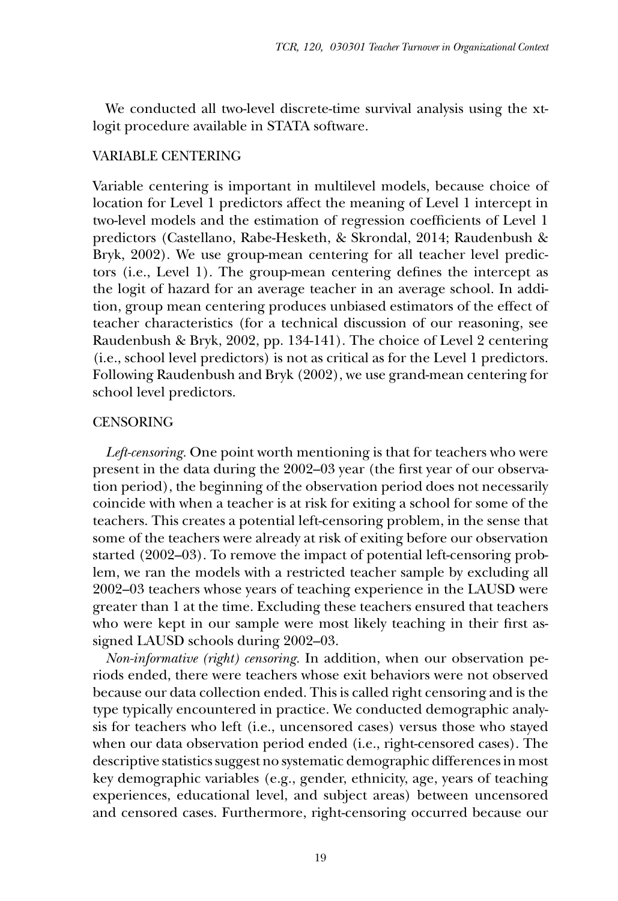We conducted all two-level discrete-time survival analysis using the xtlogit procedure available in STATA software.

#### Variable Centering

Variable centering is important in multilevel models, because choice of location for Level 1 predictors affect the meaning of Level 1 intercept in two-level models and the estimation of regression coefficients of Level 1 predictors (Castellano, Rabe-Hesketh, & Skrondal, 2014; Raudenbush & Bryk, 2002). We use group-mean centering for all teacher level predictors (i.e., Level 1). The group-mean centering defines the intercept as the logit of hazard for an average teacher in an average school. In addition, group mean centering produces unbiased estimators of the effect of teacher characteristics (for a technical discussion of our reasoning, see Raudenbush & Bryk, 2002, pp. 134-141). The choice of Level 2 centering (i.e., school level predictors) is not as critical as for the Level 1 predictors. Following Raudenbush and Bryk (2002), we use grand-mean centering for school level predictors.

#### **CENSORING**

*Left-censoring.* One point worth mentioning is that for teachers who were present in the data during the 2002–03 year (the first year of our observation period), the beginning of the observation period does not necessarily coincide with when a teacher is at risk for exiting a school for some of the teachers. This creates a potential left-censoring problem, in the sense that some of the teachers were already at risk of exiting before our observation started (2002–03). To remove the impact of potential left-censoring problem, we ran the models with a restricted teacher sample by excluding all 2002–03 teachers whose years of teaching experience in the LAUSD were greater than 1 at the time. Excluding these teachers ensured that teachers who were kept in our sample were most likely teaching in their first assigned LAUSD schools during 2002–03.

*Non-informative (right) censoring.* In addition, when our observation periods ended, there were teachers whose exit behaviors were not observed because our data collection ended. This is called right censoring and is the type typically encountered in practice. We conducted demographic analysis for teachers who left (i.e., uncensored cases) versus those who stayed when our data observation period ended (i.e., right-censored cases). The descriptive statistics suggest no systematic demographic differences in most key demographic variables (e.g., gender, ethnicity, age, years of teaching experiences, educational level, and subject areas) between uncensored and censored cases. Furthermore, right-censoring occurred because our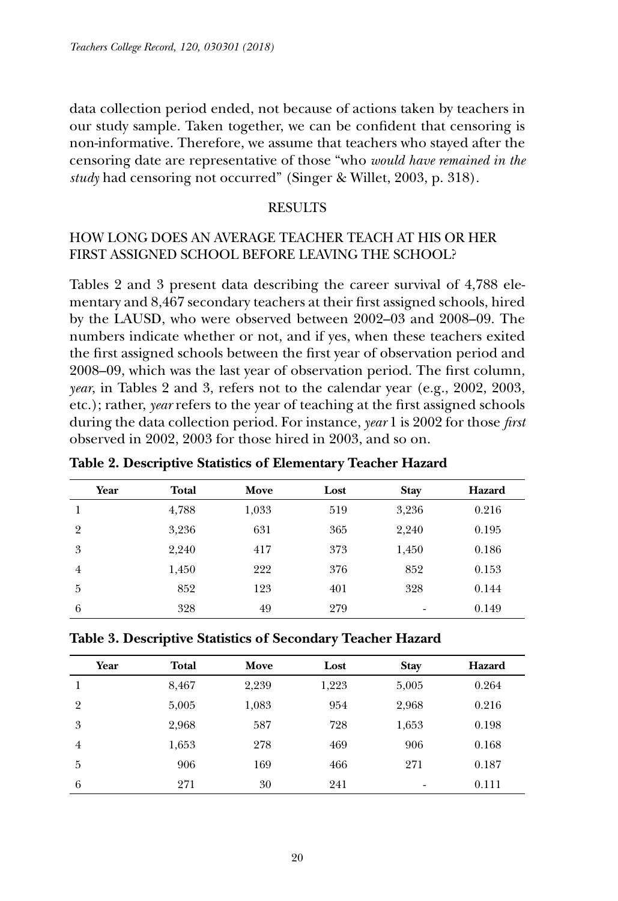data collection period ended, not because of actions taken by teachers in our study sample. Taken together, we can be confident that censoring is non-informative. Therefore, we assume that teachers who stayed after the censoring date are representative of those "who *would have remained in the study* had censoring not occurred" (Singer & Willet, 2003, p. 318).

## **RESULTS**

# How long does an average teacher teach at his or her first assigned school before leaving the school?

Tables 2 and 3 present data describing the career survival of 4,788 elementary and 8,467 secondary teachers at their first assigned schools, hired by the LAUSD, who were observed between 2002–03 and 2008–09. The numbers indicate whether or not, and if yes, when these teachers exited the first assigned schools between the first year of observation period and 2008–09, which was the last year of observation period. The first column, *year*, in Tables 2 and 3, refers not to the calendar year (e.g., 2002, 2003, etc.); rather, *year* refers to the year of teaching at the first assigned schools during the data collection period. For instance, *year* 1 is 2002 for those *first*  observed in 2002, 2003 for those hired in 2003, and so on.

| Year           | <b>Total</b> | Move  | Lost | <b>Stay</b> | Hazard |
|----------------|--------------|-------|------|-------------|--------|
|                | 4,788        | 1,033 | 519  | 3,236       | 0.216  |
| $\overline{2}$ | 3,236        | 631   | 365  | 2,240       | 0.195  |
| 3              | 2,240        | 417   | 373  | 1,450       | 0.186  |
| $\overline{4}$ | 1,450        | 222   | 376  | 852         | 0.153  |
| 5              | 852          | 123   | 401  | 328         | 0.144  |
| 6              | 328          | 49    | 279  | ٠           | 0.149  |

**Table 2. Descriptive Statistics of Elementary Teacher Hazard**

**Table 3. Descriptive Statistics of Secondary Teacher Hazard**

| Year           | <b>Total</b> | Move  | Lost  | <b>Stay</b>              | Hazard |
|----------------|--------------|-------|-------|--------------------------|--------|
|                | 8,467        | 2,239 | 1,223 | 5,005                    | 0.264  |
| $\overline{2}$ | 5,005        | 1,083 | 954   | 2,968                    | 0.216  |
| 3              | 2,968        | 587   | 728   | 1,653                    | 0.198  |
| $\overline{4}$ | 1,653        | 278   | 469   | 906                      | 0.168  |
| 5              | 906          | 169   | 466   | 271                      | 0.187  |
| 6              | 271          | 30    | 241   | $\overline{\phantom{a}}$ | 0.111  |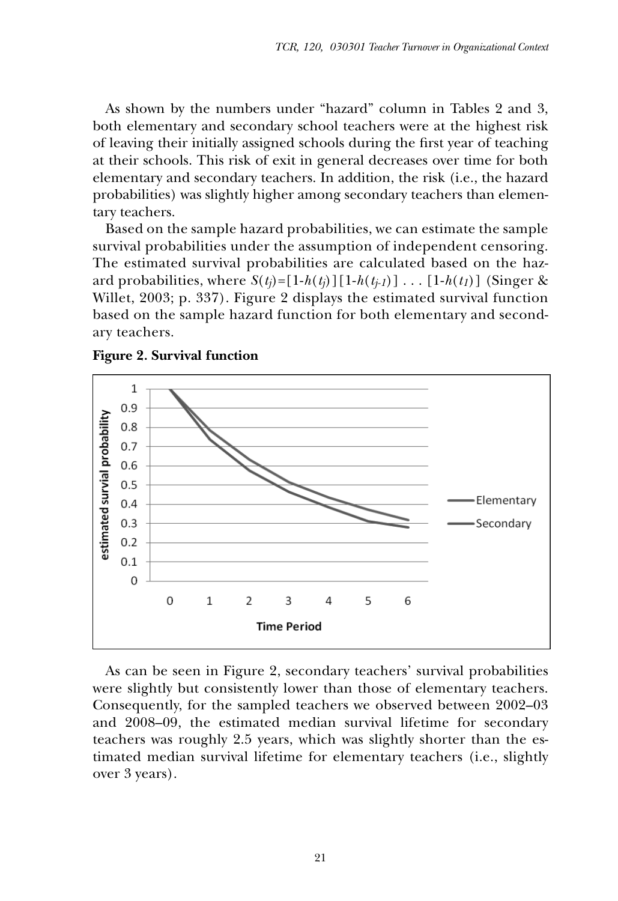As shown by the numbers under "hazard" column in Tables 2 and 3, both elementary and secondary school teachers were at the highest risk of leaving their initially assigned schools during the first year of teaching at their schools. This risk of exit in general decreases over time for both elementary and secondary teachers. In addition, the risk (i.e., the hazard probabilities) was slightly higher among secondary teachers than elementary teachers.

Based on the sample hazard probabilities, we can estimate the sample survival probabilities under the assumption of independent censoring. The estimated survival probabilities are calculated based on the hazard probabilities, where  $S(t_j) = [1-h(t_j)][1-h(t_{j-1})] \dots [1-h(t_1)]$  (Singer & Willet, 2003; p. 337). Figure 2 displays the estimated survival function based on the sample hazard function for both elementary and secondary teachers.



**Figure 2***.* **Survival function**

As can be seen in Figure 2, secondary teachers' survival probabilities were slightly but consistently lower than those of elementary teachers. Consequently, for the sampled teachers we observed between 2002–03 and 2008–09, the estimated median survival lifetime for secondary teachers was roughly 2.5 years, which was slightly shorter than the estimated median survival lifetime for elementary teachers (i.e., slightly over 3 years).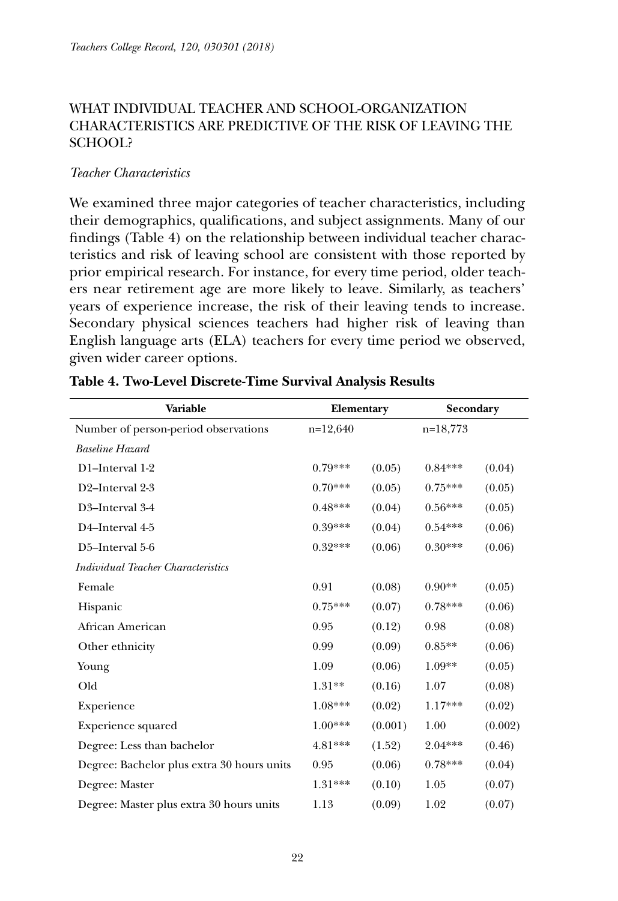# What individual teacher and school-organization characteristics are predictive of the risk of leaving the school?

## *Teacher Characteristics*

We examined three major categories of teacher characteristics, including their demographics, qualifications, and subject assignments. Many of our findings (Table 4) on the relationship between individual teacher characteristics and risk of leaving school are consistent with those reported by prior empirical research. For instance, for every time period, older teachers near retirement age are more likely to leave. Similarly, as teachers' years of experience increase, the risk of their leaving tends to increase. Secondary physical sciences teachers had higher risk of leaving than English language arts (ELA) teachers for every time period we observed, given wider career options.

| Variable                                   | Elementary |         | Secondary  |         |
|--------------------------------------------|------------|---------|------------|---------|
| Number of person-period observations       | $n=12,640$ |         | $n=18,773$ |         |
| <b>Baseline Hazard</b>                     |            |         |            |         |
| D1-Interval 1-2                            | $0.79***$  | (0.05)  | $0.84***$  | (0.04)  |
| D2-Interval 2-3                            | $0.70***$  | (0.05)  | $0.75***$  | (0.05)  |
| D3-Interval 3-4                            | $0.48***$  | (0.04)  | $0.56***$  | (0.05)  |
| D4-Interval 4-5                            | $0.39***$  | (0.04)  | $0.54***$  | (0.06)  |
| D5-Interval 5-6                            | $0.32***$  | (0.06)  | $0.30***$  | (0.06)  |
| Individual Teacher Characteristics         |            |         |            |         |
| Female                                     | 0.91       | (0.08)  | $0.90**$   | (0.05)  |
| Hispanic                                   | $0.75***$  | (0.07)  | $0.78***$  | (0.06)  |
| African American                           | 0.95       | (0.12)  | 0.98       | (0.08)  |
| Other ethnicity                            | 0.99       | (0.09)  | $0.85**$   | (0.06)  |
| Young                                      | 1.09       | (0.06)  | $1.09**$   | (0.05)  |
| Old                                        | $1.31**$   | (0.16)  | 1.07       | (0.08)  |
| Experience                                 | $1.08***$  | (0.02)  | $1.17***$  | (0.02)  |
| <b>Experience squared</b>                  | $1.00***$  | (0.001) | 1.00       | (0.002) |
| Degree: Less than bachelor                 | 4.81***    | (1.52)  | 2.04***    | (0.46)  |
| Degree: Bachelor plus extra 30 hours units | 0.95       | (0.06)  | $0.78***$  | (0.04)  |
| Degree: Master                             | $1.31***$  | (0.10)  | 1.05       | (0.07)  |
| Degree: Master plus extra 30 hours units   | 1.13       | (0.09)  | 1.02       | (0.07)  |

#### **Table 4. Two-Level Discrete-Time Survival Analysis Results**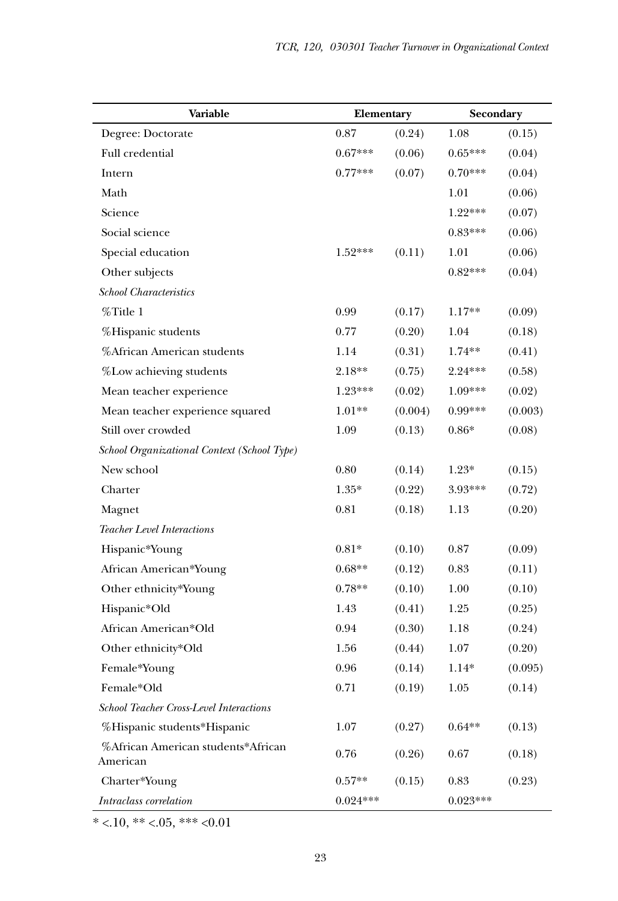| Variable                                       | Elementary |         | Secondary  |         |
|------------------------------------------------|------------|---------|------------|---------|
| Degree: Doctorate                              | 0.87       | (0.24)  | 1.08       | (0.15)  |
| Full credential                                | $0.67***$  | (0.06)  | $0.65***$  | (0.04)  |
| Intern                                         | $0.77***$  | (0.07)  | $0.70***$  | (0.04)  |
| Math                                           |            |         | 1.01       | (0.06)  |
| Science                                        |            |         | $1.22***$  | (0.07)  |
| Social science                                 |            |         | $0.83***$  | (0.06)  |
| Special education                              | $1.52***$  | (0.11)  | 1.01       | (0.06)  |
| Other subjects                                 |            |         | $0.82***$  | (0.04)  |
| <b>School Characteristics</b>                  |            |         |            |         |
| $\%$ Title 1                                   | 0.99       | (0.17)  | $1.17**$   | (0.09)  |
| %Hispanic students                             | 0.77       | (0.20)  | 1.04       | (0.18)  |
| %African American students                     | 1.14       | (0.31)  | $1.74**$   | (0.41)  |
| %Low achieving students                        | $2.18**$   | (0.75)  | $2.24***$  | (0.58)  |
| Mean teacher experience                        | 1.23***    | (0.02)  | 1.09***    | (0.02)  |
| Mean teacher experience squared                | $1.01**$   | (0.004) | $0.99***$  | (0.003) |
| Still over crowded                             | 1.09       | (0.13)  | $0.86*$    | (0.08)  |
| School Organizational Context (School Type)    |            |         |            |         |
| New school                                     | 0.80       | (0.14)  | $1.23*$    | (0.15)  |
| Charter                                        | $1.35*$    | (0.22)  | 3.93***    | (0.72)  |
| Magnet                                         | 0.81       | (0.18)  | 1.13       | (0.20)  |
| <b>Teacher Level Interactions</b>              |            |         |            |         |
| Hispanic*Young                                 | $0.81*$    | (0.10)  | 0.87       | (0.09)  |
| African American*Young                         | $0.68**$   | (0.12)  | 0.83       | (0.11)  |
| Other ethnicity*Young                          | $0.78**$   | (0.10)  | 1.00       | (0.10)  |
| Hispanic*Old                                   | 1.43       | (0.41)  | 1.25       | (0.25)  |
| African American*Old                           | 0.94       | (0.30)  | 1.18       | (0.24)  |
| Other ethnicity*Old                            | 1.56       | (0.44)  | 1.07       | (0.20)  |
| Female*Young                                   | 0.96       | (0.14)  | $1.14*$    | (0.095) |
| Female*Old                                     | 0.71       | (0.19)  | 1.05       | (0.14)  |
| School Teacher Cross-Level Interactions        |            |         |            |         |
| %Hispanic students*Hispanic                    | 1.07       | (0.27)  | $0.64**$   | (0.13)  |
| %African American students*African<br>American | 0.76       | (0.26)  | 0.67       | (0.18)  |
| Charter*Young                                  | $0.57**$   | (0.15)  | 0.83       | (0.23)  |
| Intraclass correlation                         | $0.024***$ |         | $0.023***$ |         |

 $* < 10, ** < 0.05, ** < 0.01$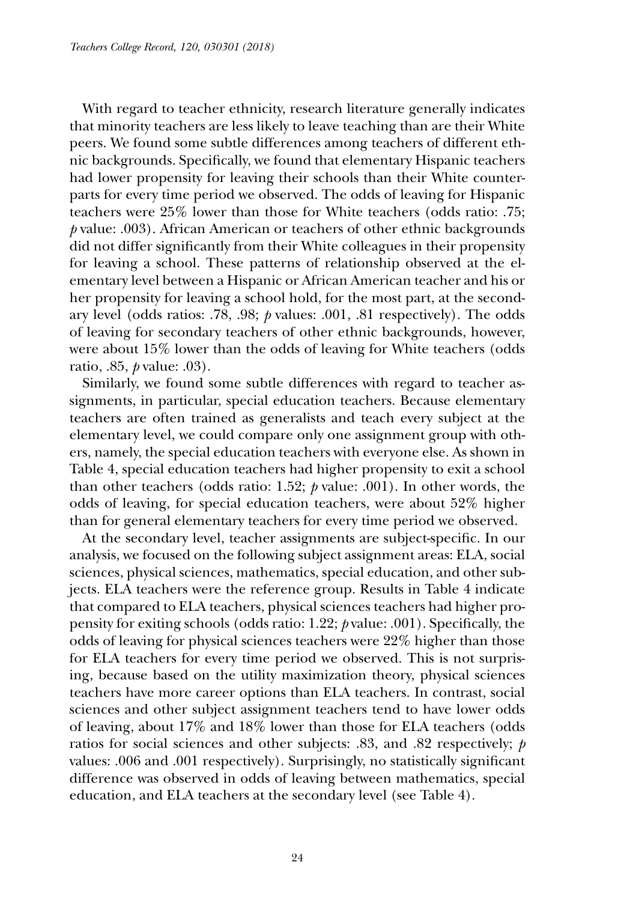With regard to teacher ethnicity, research literature generally indicates that minority teachers are less likely to leave teaching than are their White peers. We found some subtle differences among teachers of different ethnic backgrounds. Specifically, we found that elementary Hispanic teachers had lower propensity for leaving their schools than their White counterparts for every time period we observed. The odds of leaving for Hispanic teachers were 25% lower than those for White teachers (odds ratio: .75; *p* value: .003). African American or teachers of other ethnic backgrounds did not differ significantly from their White colleagues in their propensity for leaving a school. These patterns of relationship observed at the elementary level between a Hispanic or African American teacher and his or her propensity for leaving a school hold, for the most part, at the secondary level (odds ratios: .78, .98; *p* values: .001, .81 respectively). The odds of leaving for secondary teachers of other ethnic backgrounds, however, were about 15% lower than the odds of leaving for White teachers (odds ratio, .85, *p* value: .03).

Similarly, we found some subtle differences with regard to teacher assignments, in particular, special education teachers. Because elementary teachers are often trained as generalists and teach every subject at the elementary level, we could compare only one assignment group with others, namely, the special education teachers with everyone else. As shown in Table 4, special education teachers had higher propensity to exit a school than other teachers (odds ratio: 1.52;  $\beta$  value: .001). In other words, the odds of leaving, for special education teachers, were about 52% higher than for general elementary teachers for every time period we observed.

At the secondary level, teacher assignments are subject-specific. In our analysis, we focused on the following subject assignment areas: ELA, social sciences, physical sciences, mathematics, special education, and other subjects. ELA teachers were the reference group. Results in Table 4 indicate that compared to ELA teachers, physical sciences teachers had higher propensity for exiting schools (odds ratio: 1.22; *p* value: .001). Specifically, the odds of leaving for physical sciences teachers were 22% higher than those for ELA teachers for every time period we observed. This is not surprising, because based on the utility maximization theory, physical sciences teachers have more career options than ELA teachers. In contrast, social sciences and other subject assignment teachers tend to have lower odds of leaving, about 17% and 18% lower than those for ELA teachers (odds ratios for social sciences and other subjects: .83, and .82 respectively; *p* values: .006 and .001 respectively). Surprisingly, no statistically significant difference was observed in odds of leaving between mathematics, special education, and ELA teachers at the secondary level (see Table 4).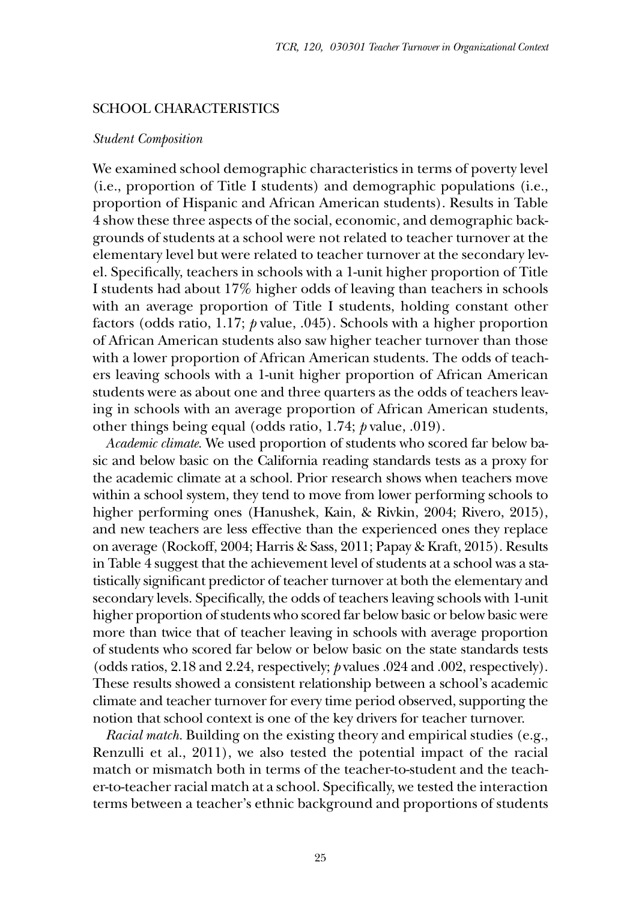#### School Characteristics

#### *Student Composition*

We examined school demographic characteristics in terms of poverty level (i.e., proportion of Title I students) and demographic populations (i.e., proportion of Hispanic and African American students). Results in Table 4 show these three aspects of the social, economic, and demographic backgrounds of students at a school were not related to teacher turnover at the elementary level but were related to teacher turnover at the secondary level. Specifically, teachers in schools with a 1-unit higher proportion of Title I students had about 17% higher odds of leaving than teachers in schools with an average proportion of Title I students, holding constant other factors (odds ratio, 1.17; *p* value, .045). Schools with a higher proportion of African American students also saw higher teacher turnover than those with a lower proportion of African American students. The odds of teachers leaving schools with a 1-unit higher proportion of African American students were as about one and three quarters as the odds of teachers leaving in schools with an average proportion of African American students, other things being equal (odds ratio, 1.74; *p* value, .019).

*Academic climate.* We used proportion of students who scored far below basic and below basic on the California reading standards tests as a proxy for the academic climate at a school. Prior research shows when teachers move within a school system, they tend to move from lower performing schools to higher performing ones (Hanushek, Kain, & Rivkin, 2004; Rivero, 2015), and new teachers are less effective than the experienced ones they replace on average (Rockoff, 2004; Harris & Sass, 2011; Papay & Kraft, 2015). Results in Table 4 suggest that the achievement level of students at a school was a statistically significant predictor of teacher turnover at both the elementary and secondary levels. Specifically, the odds of teachers leaving schools with 1-unit higher proportion of students who scored far below basic or below basic were more than twice that of teacher leaving in schools with average proportion of students who scored far below or below basic on the state standards tests (odds ratios, 2.18 and 2.24, respectively; *p* values .024 and .002, respectively). These results showed a consistent relationship between a school's academic climate and teacher turnover for every time period observed, supporting the notion that school context is one of the key drivers for teacher turnover.

*Racial match.* Building on the existing theory and empirical studies (e.g., Renzulli et al., 2011), we also tested the potential impact of the racial match or mismatch both in terms of the teacher-to-student and the teacher-to-teacher racial match at a school. Specifically, we tested the interaction terms between a teacher's ethnic background and proportions of students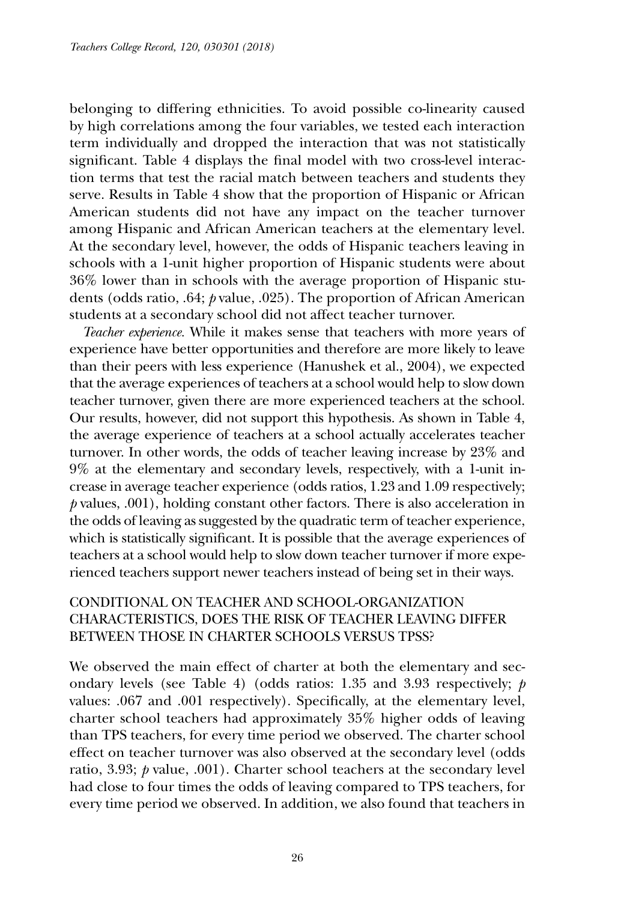belonging to differing ethnicities. To avoid possible co-linearity caused by high correlations among the four variables, we tested each interaction term individually and dropped the interaction that was not statistically significant. Table 4 displays the final model with two cross-level interaction terms that test the racial match between teachers and students they serve. Results in Table 4 show that the proportion of Hispanic or African American students did not have any impact on the teacher turnover among Hispanic and African American teachers at the elementary level. At the secondary level, however, the odds of Hispanic teachers leaving in schools with a 1-unit higher proportion of Hispanic students were about 36% lower than in schools with the average proportion of Hispanic students (odds ratio, .64; *p* value, .025). The proportion of African American students at a secondary school did not affect teacher turnover.

*Teacher experience.* While it makes sense that teachers with more years of experience have better opportunities and therefore are more likely to leave than their peers with less experience (Hanushek et al., 2004), we expected that the average experiences of teachers at a school would help to slow down teacher turnover, given there are more experienced teachers at the school. Our results, however, did not support this hypothesis. As shown in Table 4, the average experience of teachers at a school actually accelerates teacher turnover. In other words, the odds of teacher leaving increase by 23% and 9% at the elementary and secondary levels, respectively, with a 1-unit increase in average teacher experience (odds ratios, 1.23 and 1.09 respectively; *p* values, .001), holding constant other factors. There is also acceleration in the odds of leaving as suggested by the quadratic term of teacher experience, which is statistically significant. It is possible that the average experiences of teachers at a school would help to slow down teacher turnover if more experienced teachers support newer teachers instead of being set in their ways.

# Conditional on teacher and school-organization characteristics, does the risk of teacher leaving differ between those in charter schools versus TPSs?

We observed the main effect of charter at both the elementary and secondary levels (see Table 4) (odds ratios: 1.35 and 3.93 respectively; *p* values: .067 and .001 respectively). Specifically, at the elementary level, charter school teachers had approximately 35% higher odds of leaving than TPS teachers, for every time period we observed. The charter school effect on teacher turnover was also observed at the secondary level (odds ratio, 3.93; *p* value, .001). Charter school teachers at the secondary level had close to four times the odds of leaving compared to TPS teachers, for every time period we observed. In addition, we also found that teachers in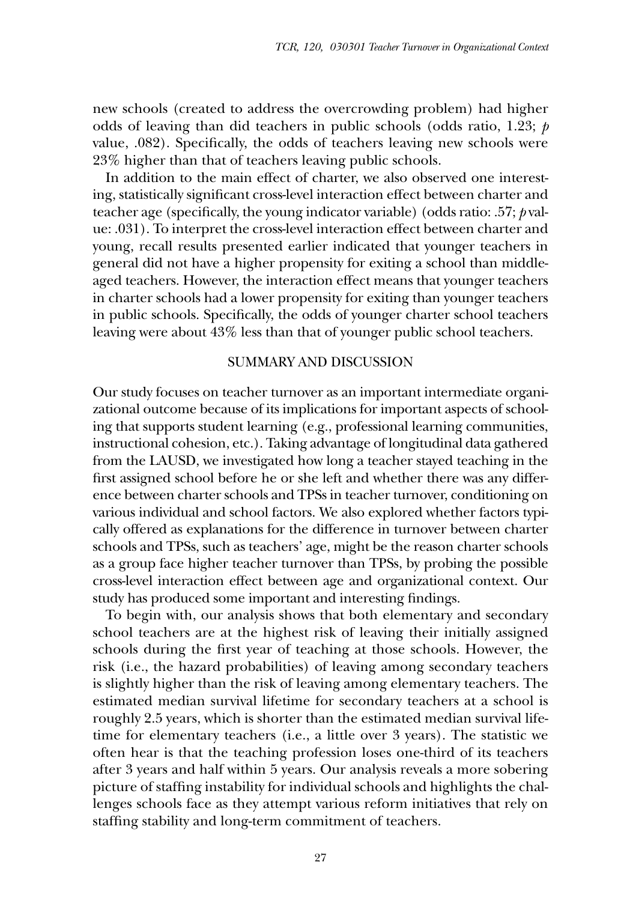new schools (created to address the overcrowding problem) had higher odds of leaving than did teachers in public schools (odds ratio, 1.23; *p* value, .082). Specifically, the odds of teachers leaving new schools were 23% higher than that of teachers leaving public schools.

In addition to the main effect of charter, we also observed one interesting, statistically significant cross-level interaction effect between charter and teacher age (specifically, the young indicator variable) (odds ratio: .57; *p* value: .031). To interpret the cross-level interaction effect between charter and young, recall results presented earlier indicated that younger teachers in general did not have a higher propensity for exiting a school than middleaged teachers. However, the interaction effect means that younger teachers in charter schools had a lower propensity for exiting than younger teachers in public schools. Specifically, the odds of younger charter school teachers leaving were about 43% less than that of younger public school teachers.

#### Summary and Discussion

Our study focuses on teacher turnover as an important intermediate organizational outcome because of its implications for important aspects of schooling that supports student learning (e.g., professional learning communities, instructional cohesion, etc.). Taking advantage of longitudinal data gathered from the LAUSD, we investigated how long a teacher stayed teaching in the first assigned school before he or she left and whether there was any difference between charter schools and TPSs in teacher turnover, conditioning on various individual and school factors. We also explored whether factors typically offered as explanations for the difference in turnover between charter schools and TPSs, such as teachers' age, might be the reason charter schools as a group face higher teacher turnover than TPSs, by probing the possible cross-level interaction effect between age and organizational context. Our study has produced some important and interesting findings.

To begin with, our analysis shows that both elementary and secondary school teachers are at the highest risk of leaving their initially assigned schools during the first year of teaching at those schools. However, the risk (i.e., the hazard probabilities) of leaving among secondary teachers is slightly higher than the risk of leaving among elementary teachers. The estimated median survival lifetime for secondary teachers at a school is roughly 2.5 years, which is shorter than the estimated median survival lifetime for elementary teachers (i.e., a little over 3 years). The statistic we often hear is that the teaching profession loses one-third of its teachers after 3 years and half within 5 years. Our analysis reveals a more sobering picture of staffing instability for individual schools and highlights the challenges schools face as they attempt various reform initiatives that rely on staffing stability and long-term commitment of teachers.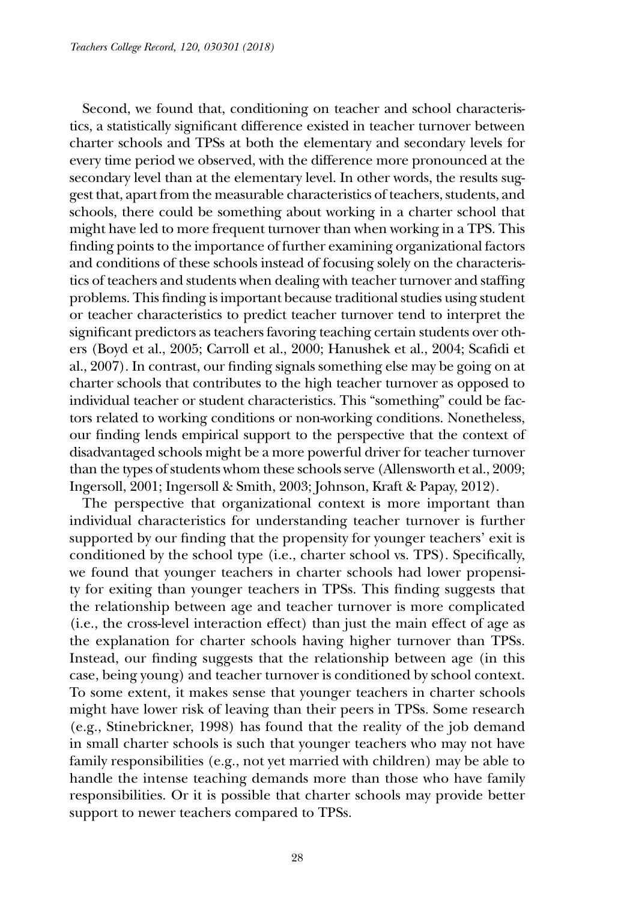Second, we found that, conditioning on teacher and school characteristics, a statistically significant difference existed in teacher turnover between charter schools and TPSs at both the elementary and secondary levels for every time period we observed, with the difference more pronounced at the secondary level than at the elementary level. In other words, the results suggest that, apart from the measurable characteristics of teachers, students, and schools, there could be something about working in a charter school that might have led to more frequent turnover than when working in a TPS. This finding points to the importance of further examining organizational factors and conditions of these schools instead of focusing solely on the characteristics of teachers and students when dealing with teacher turnover and staffing problems. This finding is important because traditional studies using student or teacher characteristics to predict teacher turnover tend to interpret the significant predictors as teachers favoring teaching certain students over others (Boyd et al., 2005; Carroll et al., 2000; Hanushek et al., 2004; Scafidi et al., 2007). In contrast, our finding signals something else may be going on at charter schools that contributes to the high teacher turnover as opposed to individual teacher or student characteristics. This "something" could be factors related to working conditions or non-working conditions. Nonetheless, our finding lends empirical support to the perspective that the context of disadvantaged schools might be a more powerful driver for teacher turnover than the types of students whom these schools serve (Allensworth et al., 2009; Ingersoll, 2001; Ingersoll & Smith, 2003; Johnson, Kraft & Papay, 2012).

The perspective that organizational context is more important than individual characteristics for understanding teacher turnover is further supported by our finding that the propensity for younger teachers' exit is conditioned by the school type (i.e., charter school vs. TPS). Specifically, we found that younger teachers in charter schools had lower propensity for exiting than younger teachers in TPSs. This finding suggests that the relationship between age and teacher turnover is more complicated (i.e., the cross-level interaction effect) than just the main effect of age as the explanation for charter schools having higher turnover than TPSs. Instead, our finding suggests that the relationship between age (in this case, being young) and teacher turnover is conditioned by school context. To some extent, it makes sense that younger teachers in charter schools might have lower risk of leaving than their peers in TPSs. Some research (e.g., Stinebrickner, 1998) has found that the reality of the job demand in small charter schools is such that younger teachers who may not have family responsibilities (e.g., not yet married with children) may be able to handle the intense teaching demands more than those who have family responsibilities. Or it is possible that charter schools may provide better support to newer teachers compared to TPSs.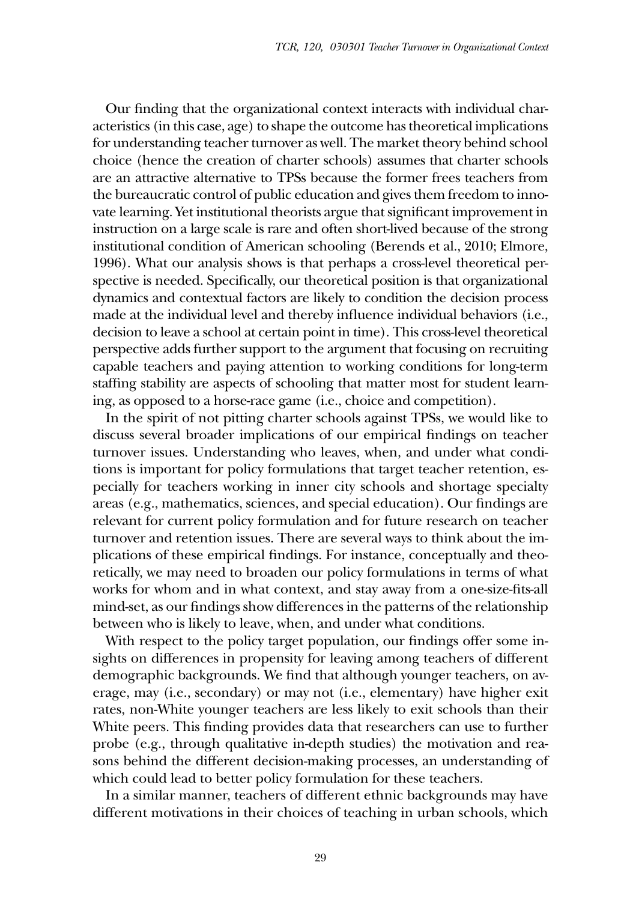Our finding that the organizational context interacts with individual characteristics (in this case, age) to shape the outcome has theoretical implications for understanding teacher turnover as well. The market theory behind school choice (hence the creation of charter schools) assumes that charter schools are an attractive alternative to TPSs because the former frees teachers from the bureaucratic control of public education and gives them freedom to innovate learning. Yet institutional theorists argue that significant improvement in instruction on a large scale is rare and often short-lived because of the strong institutional condition of American schooling (Berends et al., 2010; Elmore, 1996). What our analysis shows is that perhaps a cross-level theoretical perspective is needed. Specifically, our theoretical position is that organizational dynamics and contextual factors are likely to condition the decision process made at the individual level and thereby influence individual behaviors (i.e., decision to leave a school at certain point in time). This cross-level theoretical perspective adds further support to the argument that focusing on recruiting capable teachers and paying attention to working conditions for long-term staffing stability are aspects of schooling that matter most for student learning, as opposed to a horse-race game (i.e., choice and competition).

In the spirit of not pitting charter schools against TPSs, we would like to discuss several broader implications of our empirical findings on teacher turnover issues. Understanding who leaves, when, and under what conditions is important for policy formulations that target teacher retention, especially for teachers working in inner city schools and shortage specialty areas (e.g., mathematics, sciences, and special education). Our findings are relevant for current policy formulation and for future research on teacher turnover and retention issues. There are several ways to think about the implications of these empirical findings. For instance, conceptually and theoretically, we may need to broaden our policy formulations in terms of what works for whom and in what context, and stay away from a one-size-fits-all mind-set, as our findings show differences in the patterns of the relationship between who is likely to leave, when, and under what conditions.

With respect to the policy target population, our findings offer some insights on differences in propensity for leaving among teachers of different demographic backgrounds. We find that although younger teachers, on average, may (i.e., secondary) or may not (i.e., elementary) have higher exit rates, non-White younger teachers are less likely to exit schools than their White peers. This finding provides data that researchers can use to further probe (e.g., through qualitative in-depth studies) the motivation and reasons behind the different decision-making processes, an understanding of which could lead to better policy formulation for these teachers.

In a similar manner, teachers of different ethnic backgrounds may have different motivations in their choices of teaching in urban schools, which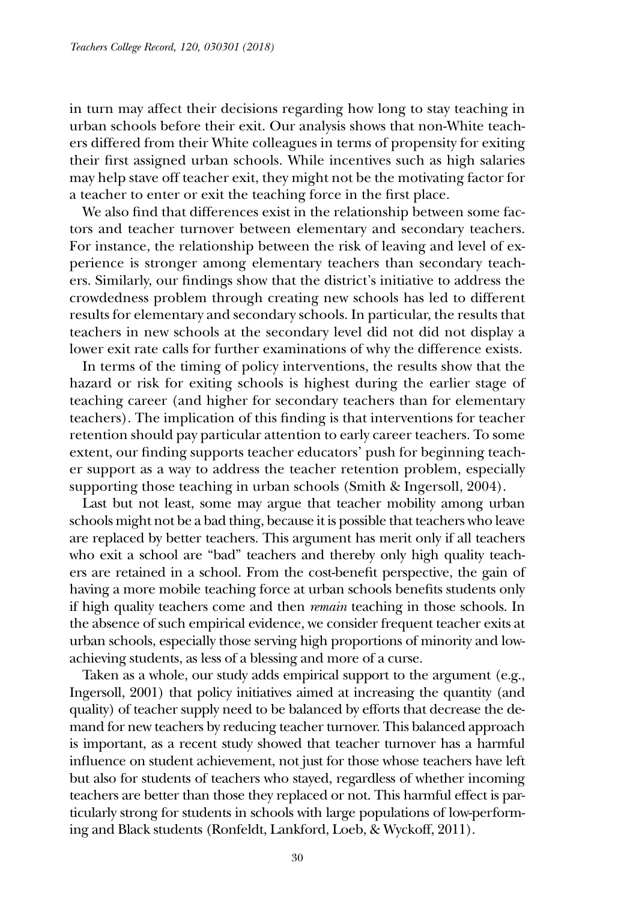in turn may affect their decisions regarding how long to stay teaching in urban schools before their exit. Our analysis shows that non-White teachers differed from their White colleagues in terms of propensity for exiting their first assigned urban schools. While incentives such as high salaries may help stave off teacher exit, they might not be the motivating factor for a teacher to enter or exit the teaching force in the first place.

We also find that differences exist in the relationship between some factors and teacher turnover between elementary and secondary teachers. For instance, the relationship between the risk of leaving and level of experience is stronger among elementary teachers than secondary teachers. Similarly, our findings show that the district's initiative to address the crowdedness problem through creating new schools has led to different results for elementary and secondary schools. In particular, the results that teachers in new schools at the secondary level did not did not display a lower exit rate calls for further examinations of why the difference exists.

In terms of the timing of policy interventions, the results show that the hazard or risk for exiting schools is highest during the earlier stage of teaching career (and higher for secondary teachers than for elementary teachers). The implication of this finding is that interventions for teacher retention should pay particular attention to early career teachers. To some extent, our finding supports teacher educators' push for beginning teacher support as a way to address the teacher retention problem, especially supporting those teaching in urban schools (Smith & Ingersoll, 2004).

Last but not least, some may argue that teacher mobility among urban schools might not be a bad thing, because it is possible that teachers who leave are replaced by better teachers. This argument has merit only if all teachers who exit a school are "bad" teachers and thereby only high quality teachers are retained in a school. From the cost-benefit perspective, the gain of having a more mobile teaching force at urban schools benefits students only if high quality teachers come and then *remain* teaching in those schools. In the absence of such empirical evidence, we consider frequent teacher exits at urban schools, especially those serving high proportions of minority and lowachieving students, as less of a blessing and more of a curse.

Taken as a whole, our study adds empirical support to the argument (e.g., Ingersoll, 2001) that policy initiatives aimed at increasing the quantity (and quality) of teacher supply need to be balanced by efforts that decrease the demand for new teachers by reducing teacher turnover. This balanced approach is important, as a recent study showed that teacher turnover has a harmful influence on student achievement, not just for those whose teachers have left but also for students of teachers who stayed, regardless of whether incoming teachers are better than those they replaced or not. This harmful effect is particularly strong for students in schools with large populations of low-performing and Black students (Ronfeldt, Lankford, Loeb, & Wyckoff, 2011).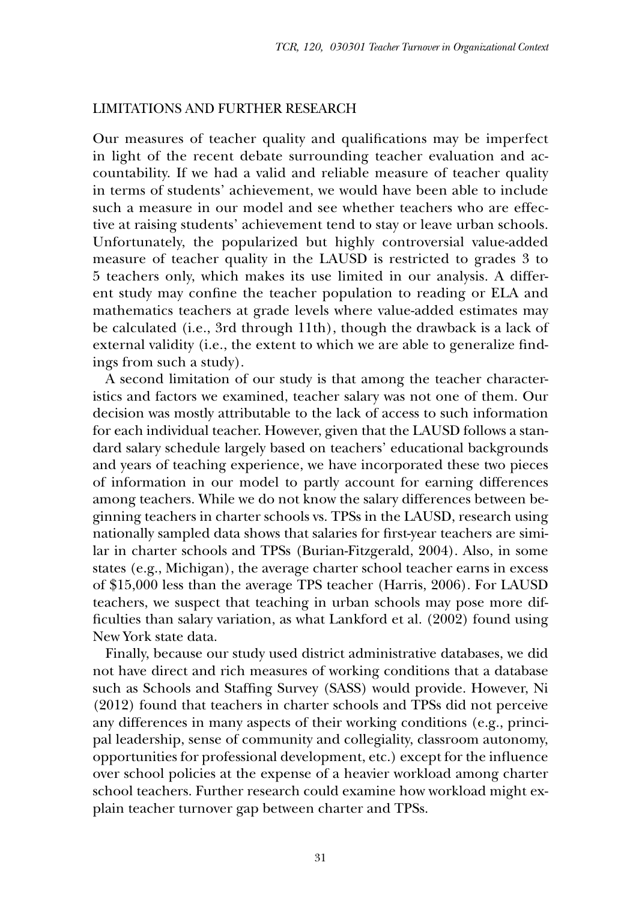#### Limitations and Further Research

Our measures of teacher quality and qualifications may be imperfect in light of the recent debate surrounding teacher evaluation and accountability. If we had a valid and reliable measure of teacher quality in terms of students' achievement, we would have been able to include such a measure in our model and see whether teachers who are effective at raising students' achievement tend to stay or leave urban schools. Unfortunately, the popularized but highly controversial value-added measure of teacher quality in the LAUSD is restricted to grades 3 to 5 teachers only, which makes its use limited in our analysis. A different study may confine the teacher population to reading or ELA and mathematics teachers at grade levels where value-added estimates may be calculated (i.e., 3rd through 11th), though the drawback is a lack of external validity (i.e., the extent to which we are able to generalize findings from such a study).

A second limitation of our study is that among the teacher characteristics and factors we examined, teacher salary was not one of them. Our decision was mostly attributable to the lack of access to such information for each individual teacher. However, given that the LAUSD follows a standard salary schedule largely based on teachers' educational backgrounds and years of teaching experience, we have incorporated these two pieces of information in our model to partly account for earning differences among teachers. While we do not know the salary differences between beginning teachers in charter schools vs. TPSs in the LAUSD, research using nationally sampled data shows that salaries for first-year teachers are similar in charter schools and TPSs (Burian-Fitzgerald, 2004). Also, in some states (e.g., Michigan), the average charter school teacher earns in excess of \$15,000 less than the average TPS teacher (Harris, 2006). For LAUSD teachers, we suspect that teaching in urban schools may pose more difficulties than salary variation, as what Lankford et al. (2002) found using New York state data.

Finally, because our study used district administrative databases, we did not have direct and rich measures of working conditions that a database such as Schools and Staffing Survey (SASS) would provide. However, Ni (2012) found that teachers in charter schools and TPSs did not perceive any differences in many aspects of their working conditions (e.g., principal leadership, sense of community and collegiality, classroom autonomy, opportunities for professional development, etc.) except for the influence over school policies at the expense of a heavier workload among charter school teachers. Further research could examine how workload might explain teacher turnover gap between charter and TPSs.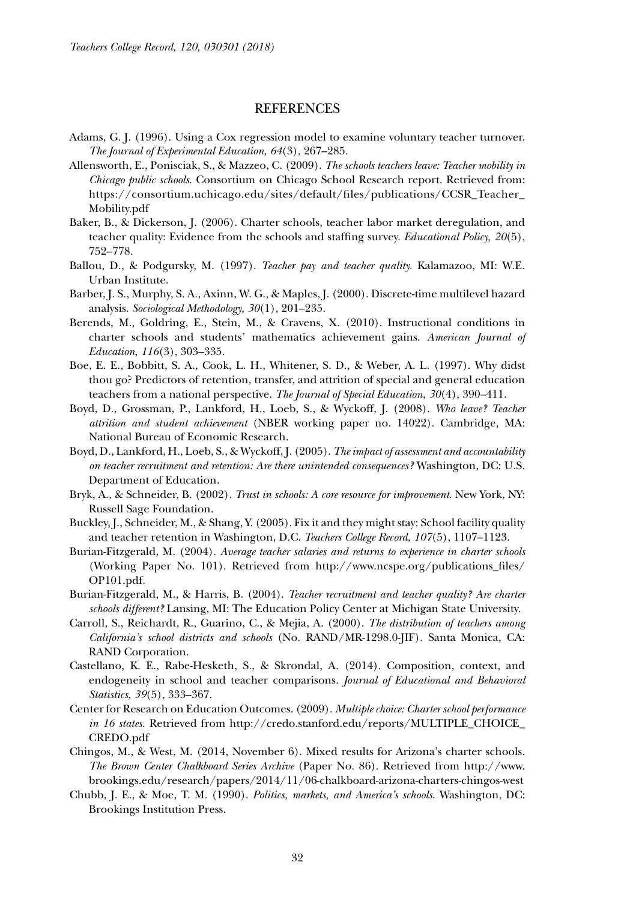#### **REFERENCES**

- Adams, G. J. (1996). Using a Cox regression model to examine voluntary teacher turnover. *The Journal of Experimental Education*, *64*(3), 267–285.
- Allensworth, E., Ponisciak, S., & Mazzeo, C. (2009). *The schools teachers leave: Teacher mobility in Chicago public schools*. Consortium on Chicago School Research report. Retrieved from: https://consortium.uchicago.edu/sites/default/files/publications/CCSR\_Teacher\_ Mobility.pdf
- Baker, B., & Dickerson, J. (2006). Charter schools, teacher labor market deregulation, and teacher quality: Evidence from the schools and staffing survey. *Educational Policy, 20*(5), 752–778.
- Ballou, D., & Podgursky, M. (1997). *Teacher pay and teacher quality.* Kalamazoo, MI: W.E. Urban Institute.
- Barber, J. S., Murphy, S. A., Axinn, W. G., & Maples, J. (2000). Discrete-time multilevel hazard analysis. *Sociological Methodology, 30*(1), 201–235.
- Berends, M., Goldring, E., Stein, M., & Cravens, X. (2010). Instructional conditions in charter schools and students' mathematics achievement gains. *American Journal of Education*, *116*(3), 303–335.
- Boe, E. E., Bobbitt, S. A., Cook, L. H., Whitener, S. D., & Weber, A. L. (1997). Why didst thou go? Predictors of retention, transfer, and attrition of special and general education teachers from a national perspective. *The Journal of Special Education*, *30*(4), 390–411.
- Boyd, D., Grossman, P., Lankford, H., Loeb, S., & Wyckoff, J. (2008). *Who leave? Teacher attrition and student achievement* (NBER working paper no. 14022). Cambridge, MA: National Bureau of Economic Research.
- Boyd, D., Lankford, H., Loeb, S., & Wyckoff, J. (2005). *The impact of assessment and accountability on teacher recruitment and retention: Are there unintended consequences?* Washington, DC: U.S. Department of Education.
- Bryk, A., & Schneider, B. (2002). *Trust in schools: A core resource for improvement*. New York, NY: Russell Sage Foundation.
- Buckley, J., Schneider, M., & Shang, Y. (2005). Fix it and they might stay: School facility quality and teacher retention in Washington, D.C. *Teachers College Record, 107*(5), 1107–1123.
- Burian-Fitzgerald, M. (2004). *Average teacher salaries and returns to experience in charter schools*  (Working Paper No. 101). Retrieved from http://www.ncspe.org/publications\_files/ OP101.pdf.
- Burian-Fitzgerald, M., & Harris, B. (2004). *Teacher recruitment and teacher quality? Are charter schools different?* Lansing, MI: The Education Policy Center at Michigan State University.
- Carroll, S., Reichardt, R., Guarino, C., & Mejia, A. (2000). *The distribution of teachers among California's school districts and schools* (No. RAND/MR-1298.0-JIF). Santa Monica, CA: RAND Corporation.
- Castellano, K. E., Rabe-Hesketh, S., & Skrondal, A. (2014). Composition, context, and endogeneity in school and teacher comparisons. *Journal of Educational and Behavioral Statistics, 39*(5), 333–367.
- Center for Research on Education Outcomes. (2009). *Multiple choice: Charter school performance in 16 states.* Retrieved from http://credo.stanford.edu/reports/MULTIPLE\_CHOICE\_ CREDO.pdf
- Chingos, M., & West, M. (2014, November 6). Mixed results for Arizona's charter schools. *The Brown Center Chalkboard Series Archive* (Paper No. 86). Retrieved from http://www. brookings.edu/research/papers/2014/11/06-chalkboard-arizona-charters-chingos-west
- Chubb, J. E., & Moe, T. M. (1990). *Politics, markets, and America's schools*. Washington, DC: Brookings Institution Press.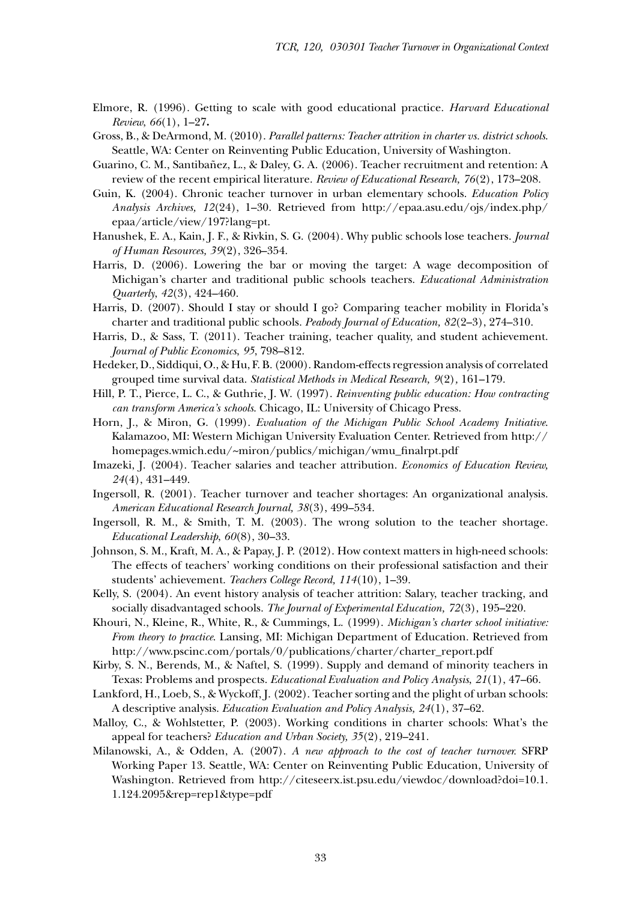- Elmore, R. (1996). Getting to scale with good educational practice. *Harvard Educational Review*, *66*(1), 1–27**.**
- Gross, B., & DeArmond, M. (2010). *Parallel patterns: Teacher attrition in charter vs. district schools*. Seattle, WA: Center on Reinventing Public Education, University of Washington.
- Guarino, C. M., Santibañez, L., & Daley, G. A. (2006). Teacher recruitment and retention: A review of the recent empirical literature. *Review of Educational Research, 76*(2), 173–208.
- Guin, K. (2004). Chronic teacher turnover in urban elementary schools. *Education Policy Analysis Archives, 12*(24), 1–30. Retrieved from http://epaa.asu.edu/ojs/index.php/ epaa/article/view/197?lang=pt.
- Hanushek, E. A., Kain, J. F., & Rivkin, S. G. (2004). Why public schools lose teachers. *Journal of Human Resources, 39*(2), 326–354.
- Harris, D. (2006). Lowering the bar or moving the target: A wage decomposition of Michigan's charter and traditional public schools teachers. *Educational Administration Quarterly*, *42*(3), 424–460.
- Harris, D. (2007). Should I stay or should I go? Comparing teacher mobility in Florida's charter and traditional public schools. *Peabody Journal of Education, 82*(2–3), 274–310.
- Harris, D., & Sass, T. (2011). Teacher training, teacher quality, and student achievement. *Journal of Public Economics*, *95*, 798–812.
- Hedeker, D., Siddiqui, O., & Hu, F. B. (2000). Random-effects regression analysis of correlated grouped time survival data. *Statistical Methods in Medical Research, 9*(2)*,* 161–179.
- Hill, P. T., Pierce, L. C., & Guthrie, J. W. (1997). *Reinventing public education: How contracting can transform America's schools*. Chicago, IL: University of Chicago Press.
- Horn, J., & Miron, G. (1999). *Evaluation of the Michigan Public School Academy Initiative*. Kalamazoo, MI: Western Michigan University Evaluation Center. Retrieved from http:// homepages.wmich.edu/~miron/publics/michigan/wmu\_finalrpt.pdf
- Imazeki, J. (2004). Teacher salaries and teacher attribution. *Economics of Education Review, 24*(4), 431–449.
- Ingersoll, R. (2001). Teacher turnover and teacher shortages: An organizational analysis. *American Educational Research Journal, 38*(3), 499–534.
- Ingersoll, R. M., & Smith, T. M. (2003). The wrong solution to the teacher shortage. *Educational Leadership*, *60*(8), 30–33.
- Johnson, S. M., Kraft, M. A., & Papay, J. P. (2012). How context matters in high-need schools: The effects of teachers' working conditions on their professional satisfaction and their students' achievement. *Teachers College Record, 114*(10), 1–39.
- Kelly, S. (2004). An event history analysis of teacher attrition: Salary, teacher tracking, and socially disadvantaged schools. *The Journal of Experimental Education, 72*(3), 195–220.
- Khouri, N., Kleine, R., White, R., & Cummings, L. (1999). *Michigan's charter school initiative: From theory to practice*. Lansing, MI: Michigan Department of Education. Retrieved from http://www.pscinc.com/portals/0/publications/charter/charter\_report.pdf
- Kirby, S. N., Berends, M., & Naftel, S. (1999). Supply and demand of minority teachers in Texas: Problems and prospects. *Educational Evaluation and Policy Analysis*, *21*(1), 47–66.
- Lankford, H., Loeb, S., & Wyckoff, J. (2002). Teacher sorting and the plight of urban schools: A descriptive analysis. *Education Evaluation and Policy Analysis, 24*(1), 37–62.
- Malloy, C., & Wohlstetter, P. (2003). Working conditions in charter schools: What's the appeal for teachers? *Education and Urban Society, 35*(2), 219–241.
- Milanowski, A., & Odden, A. (2007). *A new approach to the cost of teacher turnover.* SFRP Working Paper 13. Seattle, WA: Center on Reinventing Public Education, University of Washington. Retrieved from http://citeseerx.ist.psu.edu/viewdoc/download?doi=10.1. 1.124.2095&rep=rep1&type=pdf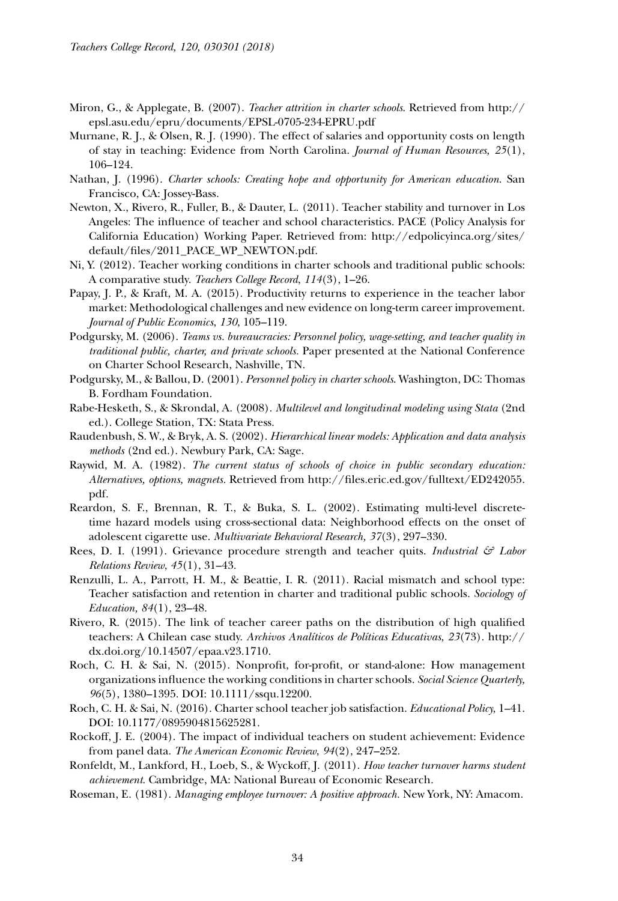- Miron, G., & Applegate, B. (2007). *Teacher attrition in charter schools*. Retrieved from http:// epsl.asu.edu/epru/documents/EPSL-0705-234-EPRU.pdf
- Murnane, R. J., & Olsen, R. J. (1990). The effect of salaries and opportunity costs on length of stay in teaching: Evidence from North Carolina. *Journal of Human Resources, 25*(1), 106–124.
- Nathan, J. (1996). *Charter schools: Creating hope and opportunity for American education*. San Francisco, CA: Jossey-Bass.
- Newton, X., Rivero, R., Fuller, B., & Dauter, L. (2011). Teacher stability and turnover in Los Angeles: The influence of teacher and school characteristics. PACE (Policy Analysis for California Education) Working Paper. Retrieved from: http://edpolicyinca.org/sites/ default/files/2011\_PACE\_WP\_NEWTON.pdf.
- Ni, Y. (2012). Teacher working conditions in charter schools and traditional public schools: A comparative study. *Teachers College Record*, *114*(3), 1–26.
- Papay, J. P., & Kraft, M. A. (2015). Productivity returns to experience in the teacher labor market: Methodological challenges and new evidence on long-term career improvement. *Journal of Public Economics*, *130*, 105–119.
- Podgursky, M. (2006). *Teams vs. bureaucracies: Personnel policy, wage-setting, and teacher quality in traditional public, charter, and private schools.* Paper presented at the National Conference on Charter School Research, Nashville, TN.
- Podgursky, M., & Ballou, D. (2001). *Personnel policy in charter schools*. Washington, DC: Thomas B. Fordham Foundation.
- Rabe-Hesketh, S., & Skrondal, A. (2008). *Multilevel and longitudinal modeling using Stata* (2nd ed.). College Station, TX: Stata Press.
- Raudenbush, S. W., & Bryk, A. S. (2002). *Hierarchical linear models: Application and data analysis methods* (2nd ed.). Newbury Park, CA: Sage.
- Raywid, M. A. (1982). *The current status of schools of choice in public secondary education: Alternatives, options, magnets.* Retrieved from http://files.eric.ed.gov/fulltext/ED242055. pdf.
- Reardon, S. F., Brennan, R. T., & Buka, S. L. (2002). Estimating multi-level discretetime hazard models using cross-sectional data: Neighborhood effects on the onset of adolescent cigarette use. *Multivariate Behavioral Research, 37*(3), 297–330.
- Rees, D. I. (1991). Grievance procedure strength and teacher quits. *Industrial & Labor Relations Review*, *45*(1), 31–43.
- Renzulli, L. A., Parrott, H. M., & Beattie, I. R. (2011). Racial mismatch and school type: Teacher satisfaction and retention in charter and traditional public schools. *Sociology of Education, 84*(1), 23–48.
- Rivero, R. (2015). The link of teacher career paths on the distribution of high qualified teachers: A Chilean case study. *Archivos Analíticos de Políticas Educativas*, *23*(73). http:// dx.doi.org/10.14507/epaa.v23.1710.
- Roch, C. H. & Sai, N. (2015). Nonprofit, for-profit, or stand-alone: How management organizations influence the working conditions in charter schools. *Social Science Quarterly, 96*(5), 1380–1395. DOI: 10.1111/ssqu.12200.
- Roch, C. H. & Sai, N. (2016). Charter school teacher job satisfaction. *Educational Policy,* 1–41. DOI: 10.1177/0895904815625281.
- Rockoff, J. E. (2004). The impact of individual teachers on student achievement: Evidence from panel data. *The American Economic Review*, *94*(2), 247–252.
- Ronfeldt, M., Lankford, H., Loeb, S., & Wyckoff, J. (2011). *How teacher turnover harms student achievement*. Cambridge, MA: National Bureau of Economic Research.
- Roseman, E. (1981). *Managing employee turnover: A positive approach.* New York, NY: Amacom.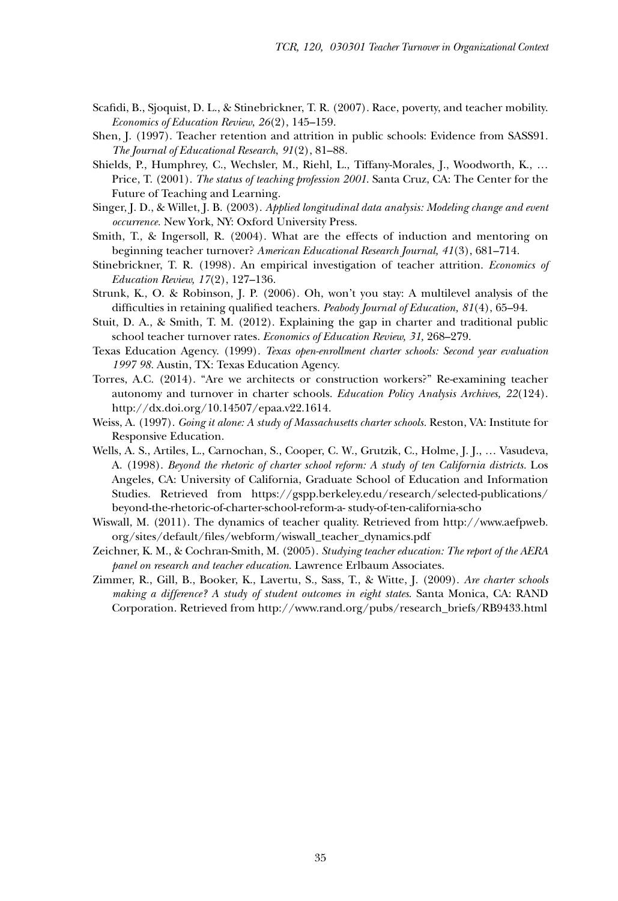- Scafidi, B., Sjoquist, D. L., & Stinebrickner, T. R. (2007). Race, poverty, and teacher mobility. *Economics of Education Review*, *26*(2), 145–159.
- Shen, J. (1997). Teacher retention and attrition in public schools: Evidence from SASS91. *The Journal of Educational Research*, *91*(2), 81–88.
- Shields, P., Humphrey, C., Wechsler, M., Riehl, L., Tiffany-Morales, J., Woodworth, K., … Price, T. (2001). *The status of teaching profession 2001*. Santa Cruz, CA: The Center for the Future of Teaching and Learning.
- Singer, J. D., & Willet, J. B. (2003). *Applied longitudinal data analysis: Modeling change and event occurrence.* New York, NY: Oxford University Press.
- Smith, T., & Ingersoll, R. (2004). What are the effects of induction and mentoring on beginning teacher turnover? *American Educational Research Journal, 41*(3), 681–714.
- Stinebrickner, T. R. (1998). An empirical investigation of teacher attrition. *Economics of Education Review, 17*(2), 127–136.
- Strunk, K., O. & Robinson, J. P. (2006). Oh, won't you stay: A multilevel analysis of the difficulties in retaining qualified teachers. *Peabody Journal of Education, 81*(4), 65–94.
- Stuit, D. A., & Smith, T. M. (2012). Explaining the gap in charter and traditional public school teacher turnover rates. *Economics of Education Review, 31,* 268–279.
- Texas Education Agency. (1999). *Texas open-enrollment charter schools: Second year evaluation 1997 98.* Austin, TX: Texas Education Agency.
- Torres, A.C. (2014). "Are we architects or construction workers?" Re-examining teacher autonomy and turnover in charter schools. *Education Policy Analysis Archives, 22*(124). http://dx.doi.org/10.14507/epaa.v22.1614.
- Weiss, A. (1997). *Going it alone: A study of Massachusetts charter schools.* Reston, VA: Institute for Responsive Education.
- Wells, A. S., Artiles, L., Carnochan, S., Cooper, C. W., Grutzik, C., Holme, J. J., … Vasudeva, A. (1998). *Beyond the rhetoric of charter school reform: A study of ten California districts.* Los Angeles, CA: University of California, Graduate School of Education and Information Studies. Retrieved from https://gspp.berkeley.edu/research/selected-publications/ beyond-the-rhetoric-of-charter-school-reform-a- study-of-ten-california-scho
- Wiswall, M. (2011). The dynamics of teacher quality. Retrieved from http://www.aefpweb. org/sites/default/files/webform/wiswall\_teacher\_dynamics.pdf
- Zeichner, K. M., & Cochran-Smith, M. (2005). *Studying teacher education: The report of the AERA panel on research and teacher education*. Lawrence Erlbaum Associates.
- Zimmer, R., Gill, B., Booker, K., Lavertu, S., Sass, T., & Witte, J. (2009). *Are charter schools making a difference? A study of student outcomes in eight states*. Santa Monica, CA: RAND Corporation. Retrieved from http://www.rand.org/pubs/research\_briefs/RB9433.html